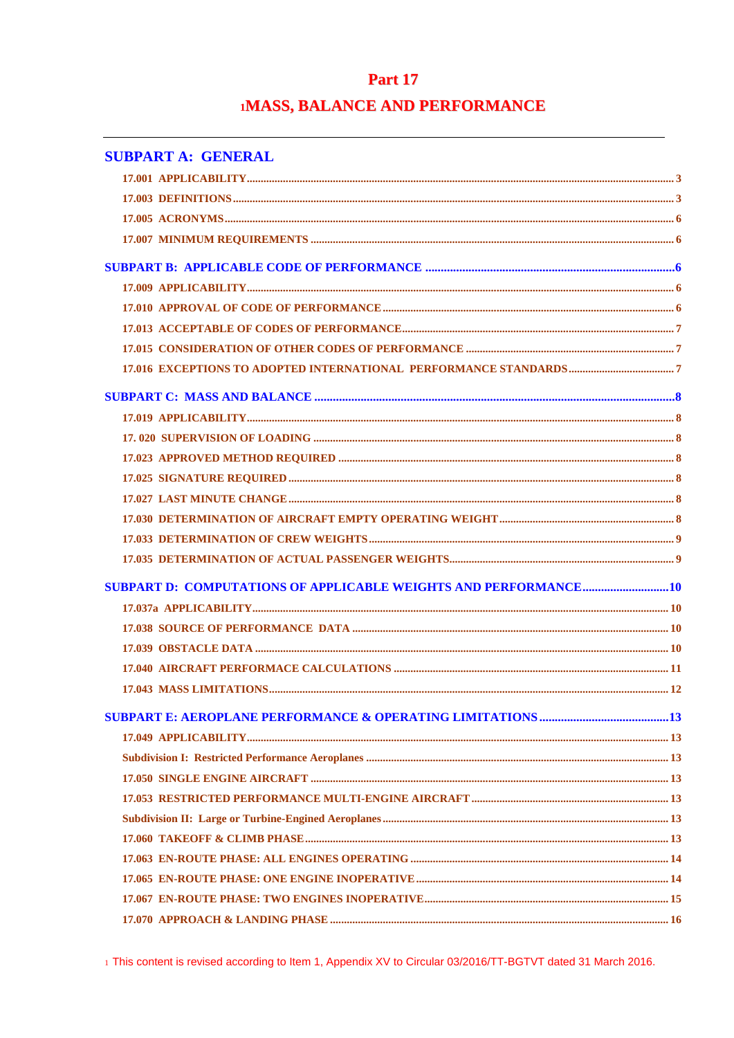# **Part 17 1MASS, BALANCE AND PERFORMANCE**

| <b>SUBPART A: GENERAL</b> |  |
|---------------------------|--|
|                           |  |
|                           |  |
|                           |  |
|                           |  |
|                           |  |
|                           |  |
|                           |  |
|                           |  |
|                           |  |
|                           |  |
|                           |  |
|                           |  |
|                           |  |
|                           |  |
|                           |  |
|                           |  |
|                           |  |
|                           |  |
|                           |  |
|                           |  |
|                           |  |
|                           |  |
|                           |  |
|                           |  |
|                           |  |
|                           |  |
|                           |  |
|                           |  |
|                           |  |
|                           |  |
|                           |  |
|                           |  |
|                           |  |
|                           |  |
|                           |  |
|                           |  |

1 This content is revised according to Item 1, Appendix XV to Circular 03/2016/TT-BGTVT dated 31 March 2016.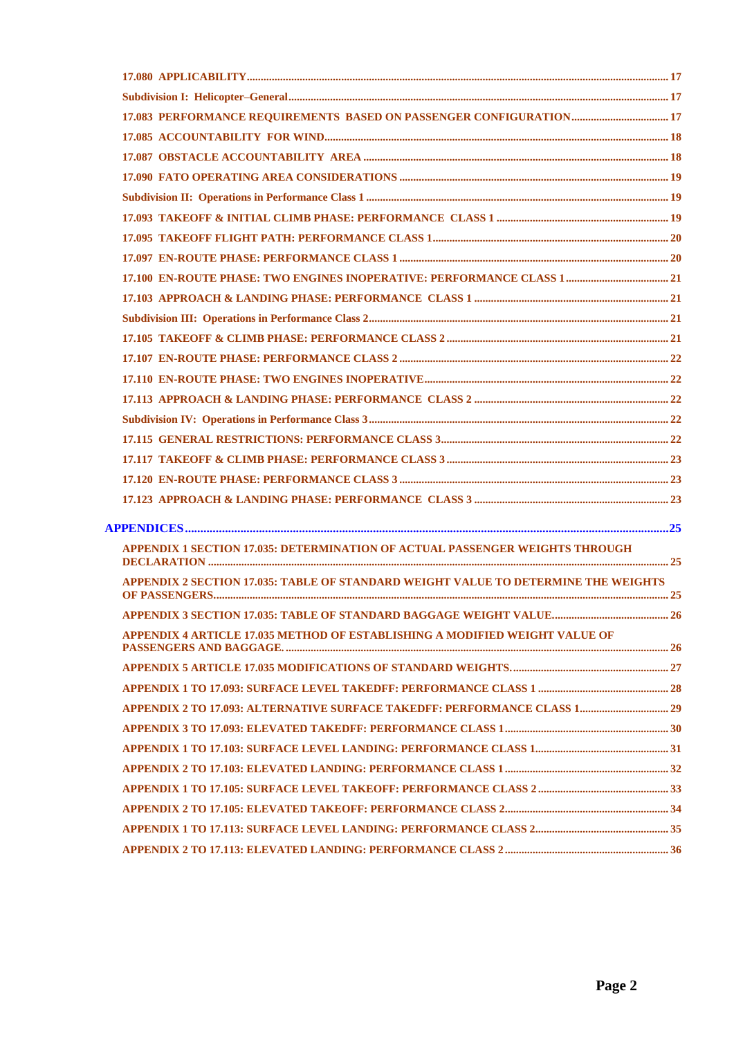| <b>APPENDIX 1 SECTION 17.035: DETERMINATION OF ACTUAL PASSENGER WEIGHTS THROUGH</b> |  |
|-------------------------------------------------------------------------------------|--|
| APPENDIX 2 SECTION 17.035: TABLE OF STANDARD WEIGHT VALUE TO DETERMINE THE WEIGHTS  |  |
|                                                                                     |  |
| APPENDIX 4 ARTICLE 17.035 METHOD OF ESTABLISHING A MODIFIED WEIGHT VALUE OF         |  |
|                                                                                     |  |
|                                                                                     |  |
|                                                                                     |  |
|                                                                                     |  |
|                                                                                     |  |
|                                                                                     |  |
|                                                                                     |  |
|                                                                                     |  |
|                                                                                     |  |
|                                                                                     |  |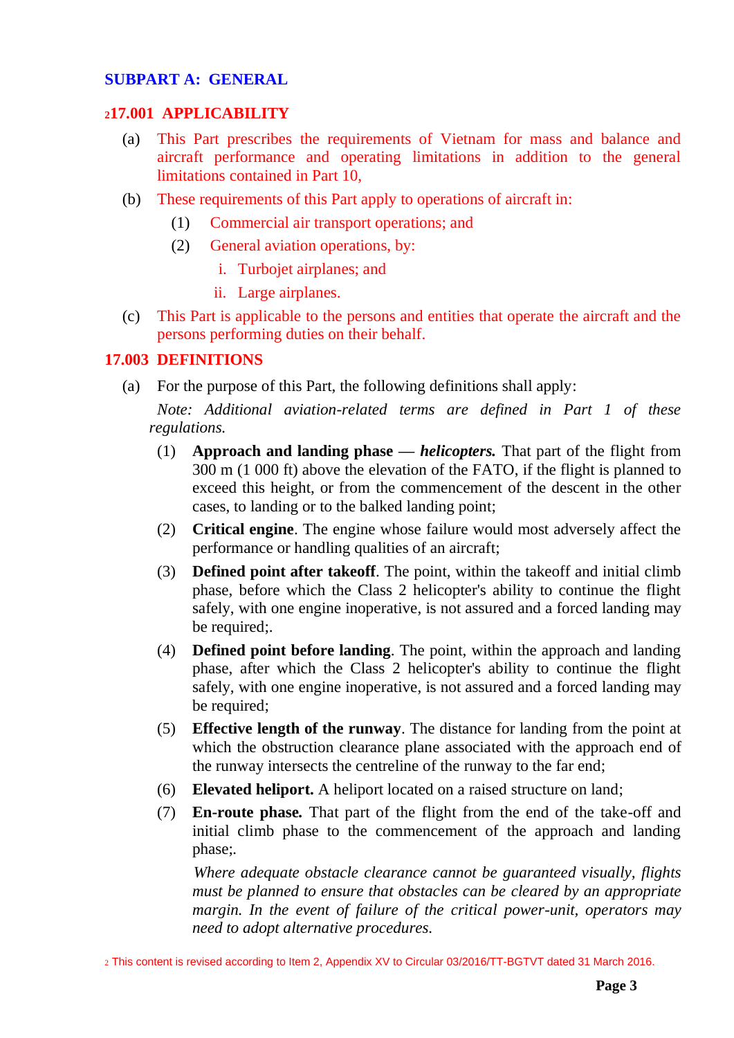#### **SUBPART A: GENERAL**

#### <span id="page-2-0"></span>**<sup>2</sup>17.001 APPLICABILITY**

- (a) This Part prescribes the requirements of Vietnam for mass and balance and aircraft performance and operating limitations in addition to the general limitations contained in Part 10,
- (b) These requirements of this Part apply to operations of aircraft in:
	- (1) Commercial air transport operations; and
	- (2) General aviation operations, by:
		- i. Turbojet airplanes; and
		- ii. Large airplanes.
- (c) This Part is applicable to the persons and entities that operate the aircraft and the persons performing duties on their behalf.

### <span id="page-2-1"></span>**17.003 DEFINITIONS**

(a) For the purpose of this Part, the following definitions shall apply:

 *Note: Additional aviation-related terms are defined in Part 1 of these regulations.*

- (1) **Approach and landing phase** *— helicopters.* That part of the flight from 300 m (1 000 ft) above the elevation of the FATO, if the flight is planned to exceed this height, or from the commencement of the descent in the other cases, to landing or to the balked landing point;
- (2) **Critical engine**. The engine whose failure would most adversely affect the performance or handling qualities of an aircraft;
- (3) **Defined point after takeoff**. The point, within the takeoff and initial climb phase, before which the Class 2 helicopter's ability to continue the flight safely, with one engine inoperative, is not assured and a forced landing may be required;.
- (4) **Defined point before landing**. The point, within the approach and landing phase, after which the Class 2 helicopter's ability to continue the flight safely, with one engine inoperative, is not assured and a forced landing may be required;
- (5) **Effective length of the runway**. The distance for landing from the point at which the obstruction clearance plane associated with the approach end of the runway intersects the centreline of the runway to the far end;
- (6) **Elevated heliport.** A heliport located on a raised structure on land;
- (7) **En-route phase***.* That part of the flight from the end of the take-off and initial climb phase to the commencement of the approach and landing phase;*.*

*Where adequate obstacle clearance cannot be guaranteed visually, flights must be planned to ensure that obstacles can be cleared by an appropriate margin. In the event of failure of the critical power-unit, operators may need to adopt alternative procedures.*

<sup>2</sup> This content is revised according to Item 2, Appendix XV to Circular 03/2016/TT-BGTVT dated 31 March 2016.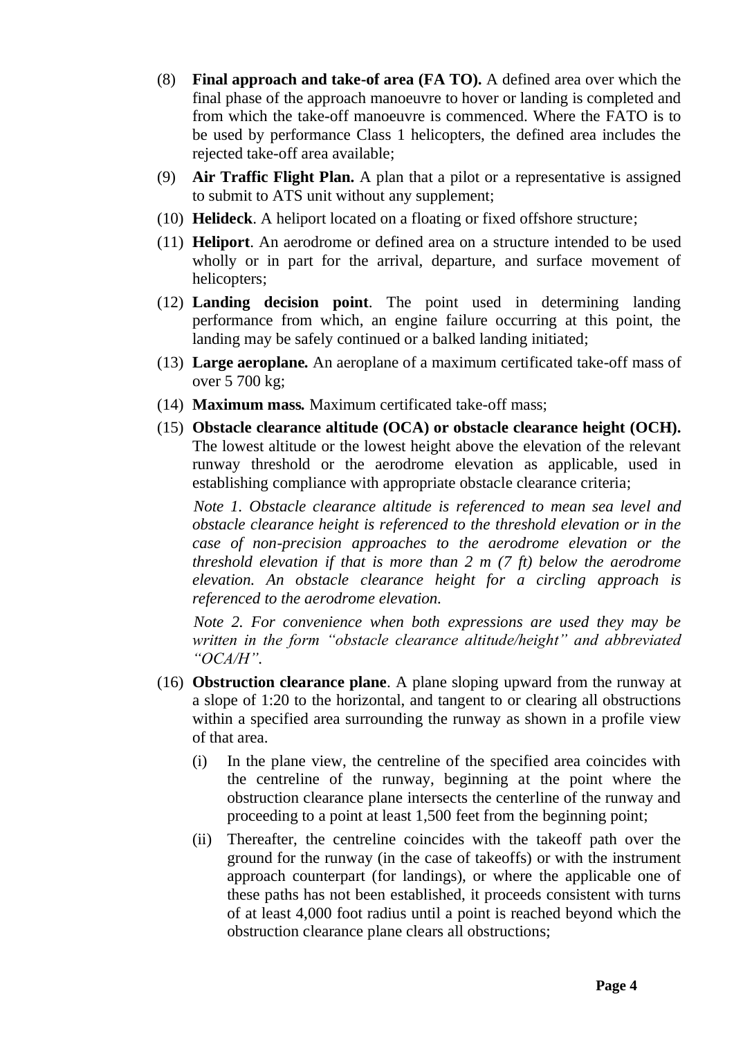- (8) **Final approach and take-of area (FA TO).** A defined area over which the final phase of the approach manoeuvre to hover or landing is completed and from which the take-off manoeuvre is commenced. Where the FATO is to be used by performance Class 1 helicopters, the defined area includes the rejected take-off area available;
- (9) **Air Traffic Flight Plan.** A plan that a pilot or a representative is assigned to submit to ATS unit without any supplement;
- (10) **Helideck**. A heliport located on a floating or fixed offshore structure;
- (11) **Heliport**. An aerodrome or defined area on a structure intended to be used wholly or in part for the arrival, departure, and surface movement of helicopters;
- (12) **Landing decision point**. The point used in determining landing performance from which, an engine failure occurring at this point, the landing may be safely continued or a balked landing initiated;
- (13) **Large aeroplane***.* An aeroplane of a maximum certificated take-off mass of over 5 700 kg;
- (14) **Maximum mass***.* Maximum certificated take-off mass;
- (15) **Obstacle clearance altitude (OCA) or obstacle clearance height (OCH).**  The lowest altitude or the lowest height above the elevation of the relevant runway threshold or the aerodrome elevation as applicable, used in establishing compliance with appropriate obstacle clearance criteria;

*Note 1. Obstacle clearance altitude is referenced to mean sea level and obstacle clearance height is referenced to the threshold elevation or in the case of non-precision approaches to the aerodrome elevation or the threshold elevation if that is more than 2 m (7 ft) below the aerodrome elevation. An obstacle clearance height for a circling approach is referenced to the aerodrome elevation.*

*Note 2. For convenience when both expressions are used they may be written in the form "obstacle clearance altitude/height" and abbreviated "OCA/H".*

- (16) **Obstruction clearance plane**. A plane sloping upward from the runway at a slope of 1:20 to the horizontal, and tangent to or clearing all obstructions within a specified area surrounding the runway as shown in a profile view of that area.
	- (i) In the plane view, the centreline of the specified area coincides with the centreline of the runway, beginning at the point where the obstruction clearance plane intersects the centerline of the runway and proceeding to a point at least 1,500 feet from the beginning point;
	- (ii) Thereafter, the centreline coincides with the takeoff path over the ground for the runway (in the case of takeoffs) or with the instrument approach counterpart (for landings), or where the applicable one of these paths has not been established, it proceeds consistent with turns of at least 4,000 foot radius until a point is reached beyond which the obstruction clearance plane clears all obstructions;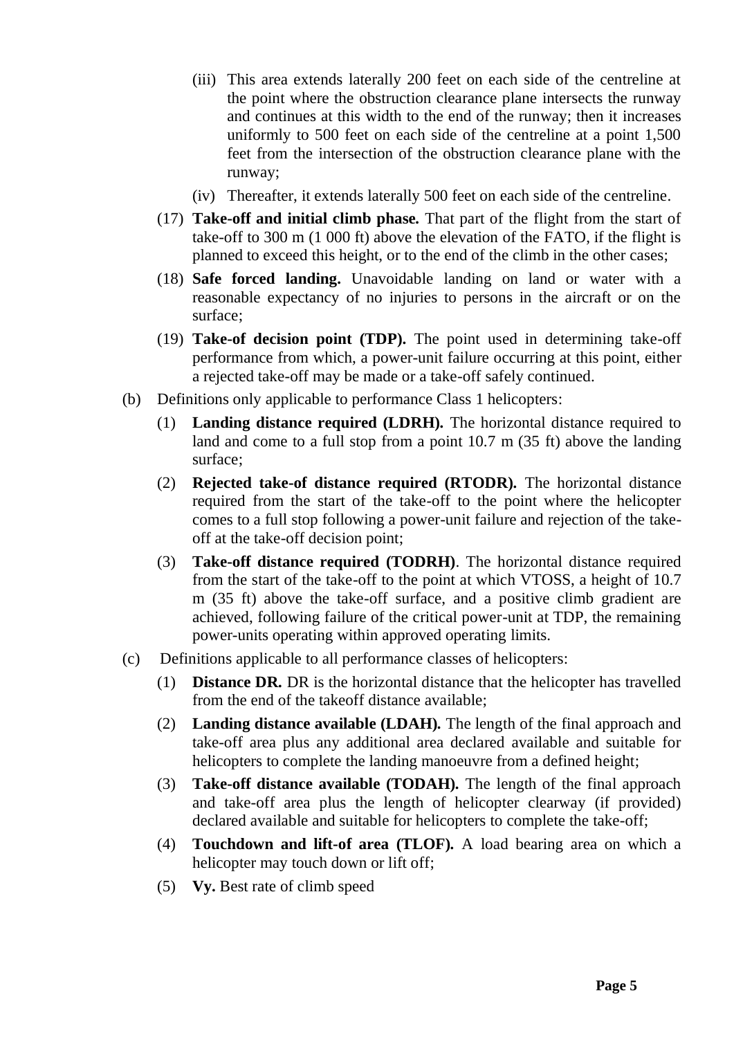- (iii) This area extends laterally 200 feet on each side of the centreline at the point where the obstruction clearance plane intersects the runway and continues at this width to the end of the runway; then it increases uniformly to 500 feet on each side of the centreline at a point 1,500 feet from the intersection of the obstruction clearance plane with the runway;
- (iv) Thereafter, it extends laterally 500 feet on each side of the centreline.
- (17) **Take-off and initial climb phase***.* That part of the flight from the start of take-off to 300 m (1 000 ft) above the elevation of the FATO, if the flight is planned to exceed this height, or to the end of the climb in the other cases;
- (18) **Safe forced landing.** Unavoidable landing on land or water with a reasonable expectancy of no injuries to persons in the aircraft or on the surface;
- (19) **Take-of decision point (TDP).** The point used in determining take-off performance from which, a power-unit failure occurring at this point, either a rejected take-off may be made or a take-off safely continued.
- (b) Definitions only applicable to performance Class 1 helicopters:
	- (1) **Landing distance required (LDRH)***.* The horizontal distance required to land and come to a full stop from a point 10.7 m (35 ft) above the landing surface;
	- (2) **Rejected take-of distance required (RTODR)***.* The horizontal distance required from the start of the take-off to the point where the helicopter comes to a full stop following a power-unit failure and rejection of the takeoff at the take-off decision point;
	- (3) **Take-off distance required (TODRH)**. The horizontal distance required from the start of the take-off to the point at which VTOSS, a height of 10.7 m (35 ft) above the take-off surface, and a positive climb gradient are achieved, following failure of the critical power-unit at TDP, the remaining power-units operating within approved operating limits.
- (c) Definitions applicable to all performance classes of helicopters:
	- (1) **Distance DR***.* DR is the horizontal distance that the helicopter has travelled from the end of the takeoff distance available;
	- (2) **Landing distance available (LDAH)***.* The length of the final approach and take-off area plus any additional area declared available and suitable for helicopters to complete the landing manoeuvre from a defined height;
	- (3) **Take-off distance available (TODAH)***.* The length of the final approach and take-off area plus the length of helicopter clearway (if provided) declared available and suitable for helicopters to complete the take-off;
	- (4) **Touchdown and lift-of area (TLOF)***.* A load bearing area on which a helicopter may touch down or lift off;
	- (5) **Vy.** Best rate of climb speed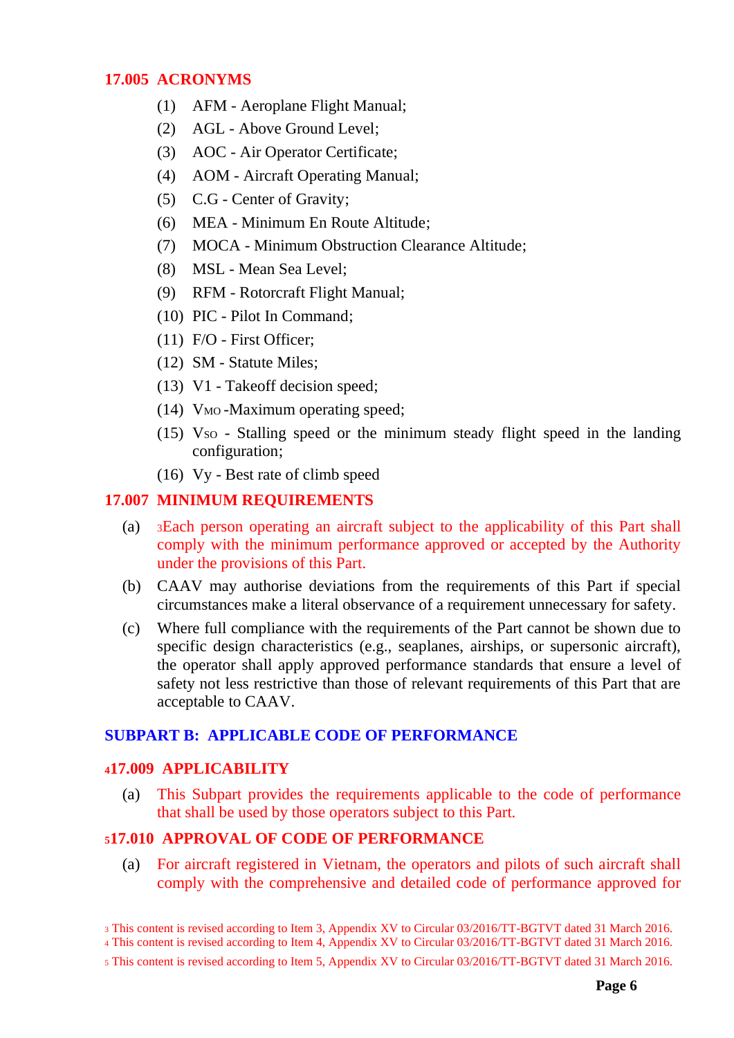#### <span id="page-5-0"></span>**17.005 ACRONYMS**

- (1) AFM Aeroplane Flight Manual;
- (2) AGL Above Ground Level;
- (3) AOC Air Operator Certificate;
- (4) AOM Aircraft Operating Manual;
- (5) C.G Center of Gravity;
- (6) MEA Minimum En Route Altitude;
- (7) MOCA Minimum Obstruction Clearance Altitude;
- (8) MSL Mean Sea Level;
- (9) RFM Rotorcraft Flight Manual;
- (10) PIC Pilot In Command;
- (11) F/O First Officer;
- (12) SM Statute Miles;
- (13) V1 Takeoff decision speed;
- (14) V<sub>MO</sub> -Maximum operating speed;
- $(15)$  Vso Stalling speed or the minimum steady flight speed in the landing configuration;
- (16) Vy *-* Best rate of climb speed

# <span id="page-5-1"></span>**17.007 MINIMUM REQUIREMENTS**

- (a) <sup>3</sup>Each person operating an aircraft subject to the applicability of this Part shall comply with the minimum performance approved or accepted by the Authority under the provisions of this Part.
- (b) CAAV may authorise deviations from the requirements of this Part if special circumstances make a literal observance of a requirement unnecessary for safety.
- (c) Where full compliance with the requirements of the Part cannot be shown due to specific design characteristics (e.g., seaplanes, airships, or supersonic aircraft), the operator shall apply approved performance standards that ensure a level of safety not less restrictive than those of relevant requirements of this Part that are acceptable to CAAV.

#### <span id="page-5-2"></span>**SUBPART B: APPLICABLE CODE OF PERFORMANCE**

# <span id="page-5-3"></span>**<sup>4</sup>17.009 APPLICABILITY**

(a) This Subpart provides the requirements applicable to the code of performance that shall be used by those operators subject to this Part.

#### <span id="page-5-4"></span>**<sup>5</sup>17.010 APPROVAL OF CODE OF PERFORMANCE**

(a) For aircraft registered in Vietnam, the operators and pilots of such aircraft shall comply with the comprehensive and detailed code of performance approved for

<sup>3</sup> This content is revised according to Item 3, Appendix XV to Circular 03/2016/TT-BGTVT dated 31 March 2016.

<sup>4</sup> This content is revised according to Item 4, Appendix XV to Circular 03/2016/TT-BGTVT dated 31 March 2016.

<sup>5</sup> This content is revised according to Item 5, Appendix XV to Circular 03/2016/TT-BGTVT dated 31 March 2016.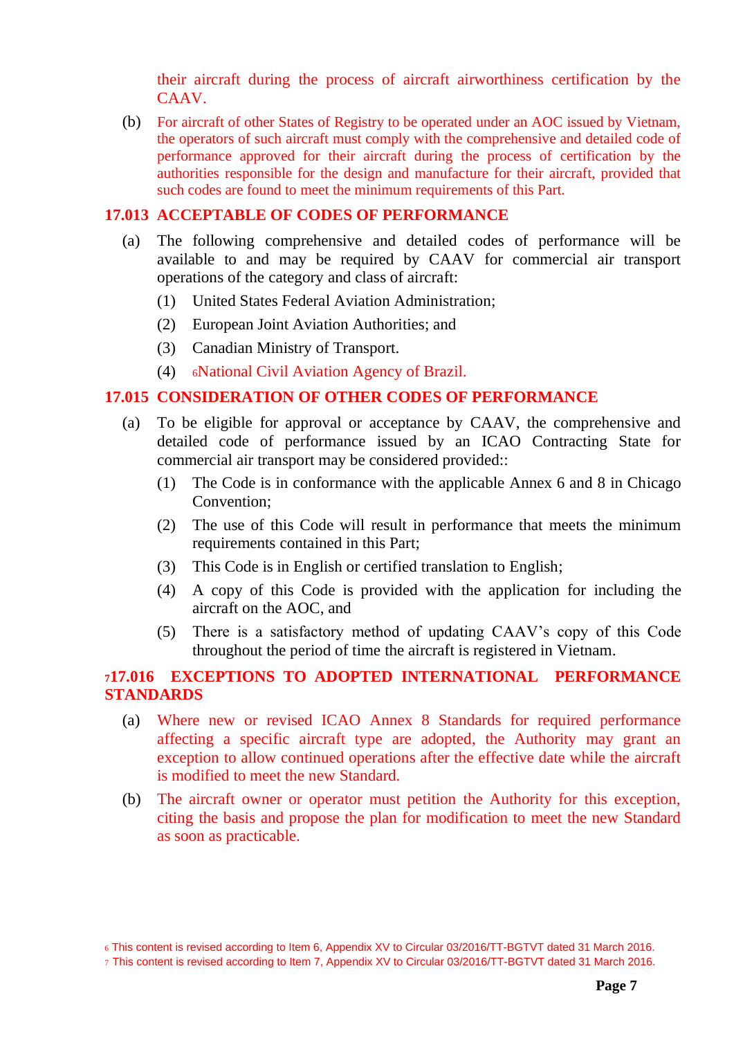their aircraft during the process of aircraft airworthiness certification by the CAAV.

(b) For aircraft of other States of Registry to be operated under an AOC issued by Vietnam, the operators of such aircraft must comply with the comprehensive and detailed code of performance approved for their aircraft during the process of certification by the authorities responsible for the design and manufacture for their aircraft, provided that such codes are found to meet the minimum requirements of this Part.

#### <span id="page-6-0"></span>**17.013 ACCEPTABLE OF CODES OF PERFORMANCE**

- (a) The following comprehensive and detailed codes of performance will be available to and may be required by CAAV for commercial air transport operations of the category and class of aircraft:
	- (1) United States Federal Aviation Administration;
	- (2) European Joint Aviation Authorities; and
	- (3) Canadian Ministry of Transport.
	- (4) <sup>6</sup>National Civil Aviation Agency of Brazil.

#### <span id="page-6-1"></span>**17.015 CONSIDERATION OF OTHER CODES OF PERFORMANCE**

- (a) To be eligible for approval or acceptance by CAAV, the comprehensive and detailed code of performance issued by an ICAO Contracting State for commercial air transport may be considered provided::
	- (1) The Code is in conformance with the applicable Annex 6 and 8 in Chicago Convention;
	- (2) The use of this Code will result in performance that meets the minimum requirements contained in this Part;
	- (3) This Code is in English or certified translation to English;
	- (4) A copy of this Code is provided with the application for including the aircraft on the AOC, and
	- (5) There is a satisfactory method of updating CAAV's copy of this Code throughout the period of time the aircraft is registered in Vietnam.

# <span id="page-6-2"></span>**<sup>7</sup>17.016 EXCEPTIONS TO ADOPTED INTERNATIONAL PERFORMANCE STANDARDS**

- (a) Where new or revised ICAO Annex 8 Standards for required performance affecting a specific aircraft type are adopted, the Authority may grant an exception to allow continued operations after the effective date while the aircraft is modified to meet the new Standard.
- (b) The aircraft owner or operator must petition the Authority for this exception, citing the basis and propose the plan for modification to meet the new Standard as soon as practicable.

<sup>6</sup> This content is revised according to Item 6, Appendix XV to Circular 03/2016/TT-BGTVT dated 31 March 2016.

<sup>7</sup> This content is revised according to Item 7, Appendix XV to Circular 03/2016/TT-BGTVT dated 31 March 2016.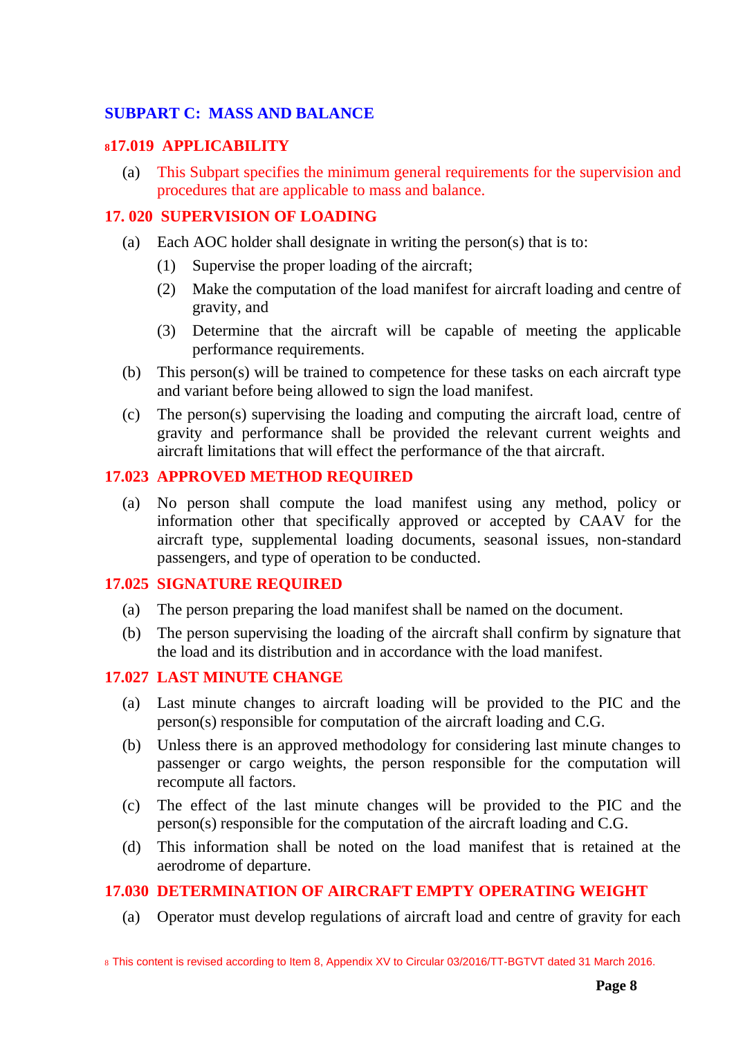# <span id="page-7-0"></span>**SUBPART C: MASS AND BALANCE**

### <span id="page-7-1"></span>**<sup>8</sup>17.019 APPLICABILITY**

(a) This Subpart specifies the minimum general requirements for the supervision and procedures that are applicable to mass and balance.

### <span id="page-7-2"></span>**17. 020 SUPERVISION OF LOADING**

- (a) Each AOC holder shall designate in writing the person(s) that is to:
	- (1) Supervise the proper loading of the aircraft;
	- (2) Make the computation of the load manifest for aircraft loading and centre of gravity, and
	- (3) Determine that the aircraft will be capable of meeting the applicable performance requirements.
- (b) This person(s) will be trained to competence for these tasks on each aircraft type and variant before being allowed to sign the load manifest.
- (c) The person(s) supervising the loading and computing the aircraft load, centre of gravity and performance shall be provided the relevant current weights and aircraft limitations that will effect the performance of the that aircraft.

### <span id="page-7-3"></span>**17.023 APPROVED METHOD REQUIRED**

(a) No person shall compute the load manifest using any method, policy or information other that specifically approved or accepted by CAAV for the aircraft type, supplemental loading documents, seasonal issues, non-standard passengers, and type of operation to be conducted.

#### <span id="page-7-4"></span>**17.025 SIGNATURE REQUIRED**

- (a) The person preparing the load manifest shall be named on the document.
- (b) The person supervising the loading of the aircraft shall confirm by signature that the load and its distribution and in accordance with the load manifest.

#### <span id="page-7-5"></span>**17.027 LAST MINUTE CHANGE**

- (a) Last minute changes to aircraft loading will be provided to the PIC and the person(s) responsible for computation of the aircraft loading and C.G.
- (b) Unless there is an approved methodology for considering last minute changes to passenger or cargo weights, the person responsible for the computation will recompute all factors.
- (c) The effect of the last minute changes will be provided to the PIC and the person(s) responsible for the computation of the aircraft loading and C.G.
- (d) This information shall be noted on the load manifest that is retained at the aerodrome of departure.

# <span id="page-7-6"></span>**17.030 DETERMINATION OF AIRCRAFT EMPTY OPERATING WEIGHT**

(a) Operator must develop regulations of aircraft load and centre of gravity for each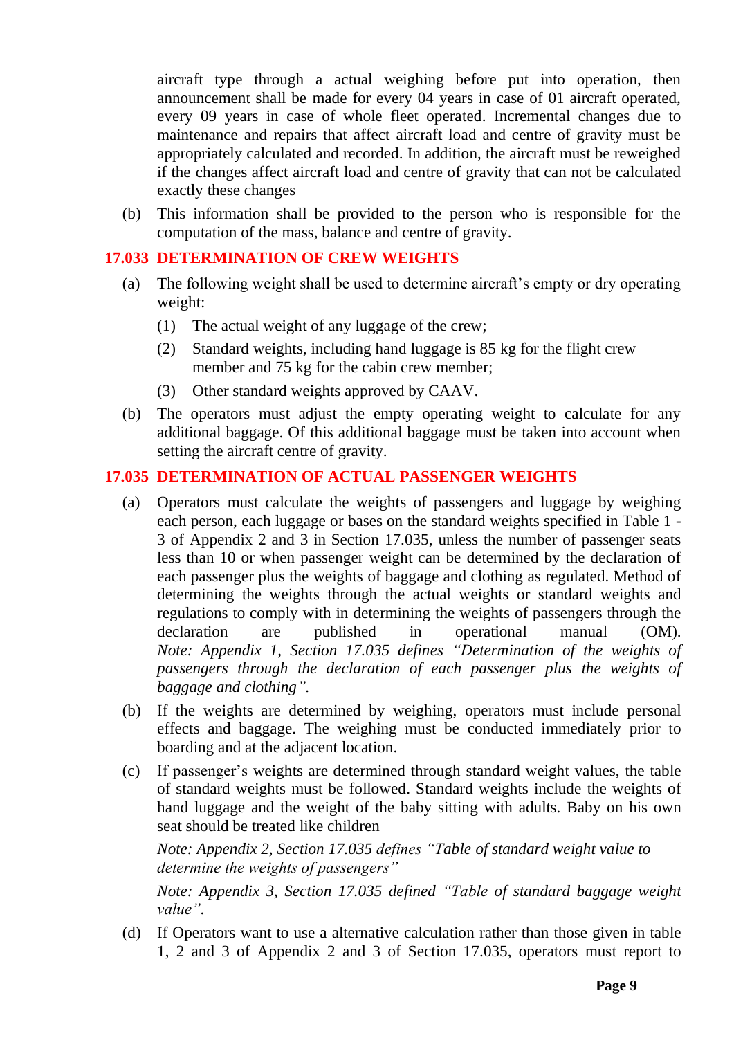aircraft type through a actual weighing before put into operation, then announcement shall be made for every 04 years in case of 01 aircraft operated, every 09 years in case of whole fleet operated. Incremental changes due to maintenance and repairs that affect aircraft load and centre of gravity must be appropriately calculated and recorded. In addition, the aircraft must be reweighed if the changes affect aircraft load and centre of gravity that can not be calculated exactly these changes

(b) This information shall be provided to the person who is responsible for the computation of the mass, balance and centre of gravity.

# <span id="page-8-0"></span>**17.033 DETERMINATION OF CREW WEIGHTS**

- (a) The following weight shall be used to determine aircraft's empty or dry operating weight:
	- (1) The actual weight of any luggage of the crew;
	- (2) Standard weights, including hand luggage is 85 kg for the flight crew member and 75 kg for the cabin crew member;
	- (3) Other standard weights approved by CAAV.
- (b) The operators must adjust the empty operating weight to calculate for any additional baggage. Of this additional baggage must be taken into account when setting the aircraft centre of gravity.

### <span id="page-8-1"></span>**17.035 DETERMINATION OF ACTUAL PASSENGER WEIGHTS**

- (a) Operators must calculate the weights of passengers and luggage by weighing each person, each luggage or bases on the standard weights specified in Table 1 - 3 of Appendix 2 and 3 in Section 17.035, unless the number of passenger seats less than 10 or when passenger weight can be determined by the declaration of each passenger plus the weights of baggage and clothing as regulated. Method of determining the weights through the actual weights or standard weights and regulations to comply with in determining the weights of passengers through the declaration are published in operational manual (OM). *Note: Appendix 1, Section 17.035 defines "Determination of the weights of passengers through the declaration of each passenger plus the weights of baggage and clothing".*
- (b) If the weights are determined by weighing, operators must include personal effects and baggage. The weighing must be conducted immediately prior to boarding and at the adjacent location.
- (c) If passenger's weights are determined through standard weight values, the table of standard weights must be followed. Standard weights include the weights of hand luggage and the weight of the baby sitting with adults. Baby on his own seat should be treated like children

*Note: Appendix 2, Section 17.035 defines "Table of standard weight value to determine the weights of passengers"*

*Note: Appendix 3, Section 17.035 defined "Table of standard baggage weight value".*

(d) If Operators want to use a alternative calculation rather than those given in table 1, 2 and 3 of Appendix 2 and 3 of Section 17.035, operators must report to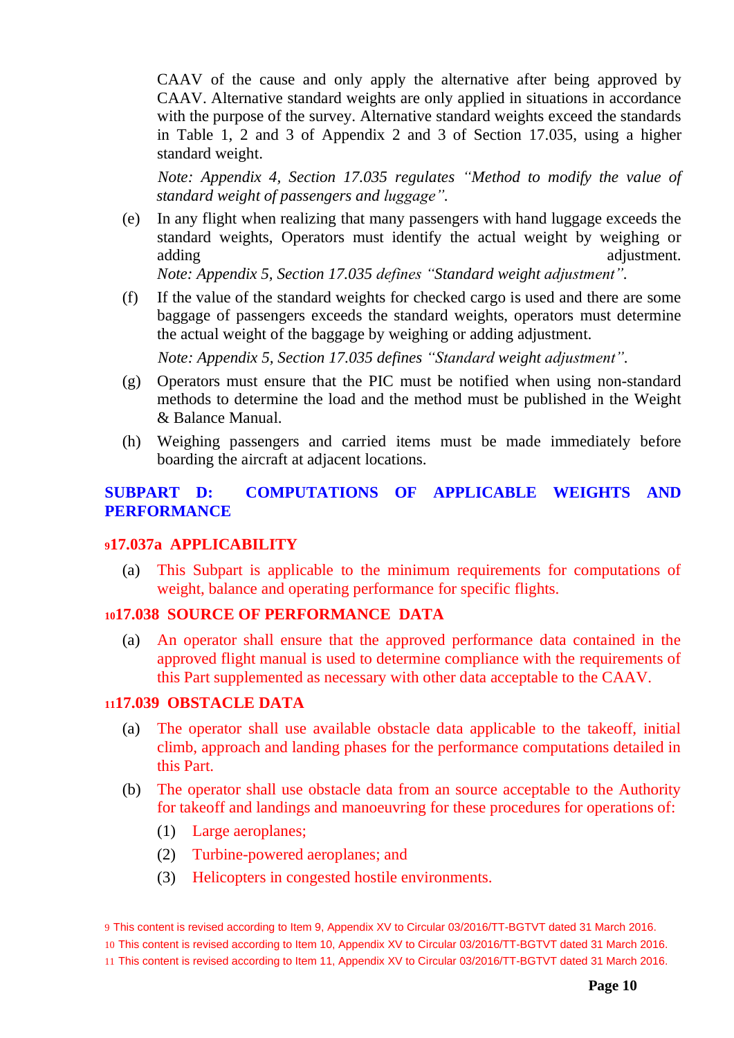CAAV of the cause and only apply the alternative after being approved by CAAV. Alternative standard weights are only applied in situations in accordance with the purpose of the survey. Alternative standard weights exceed the standards in Table 1, 2 and 3 of Appendix 2 and 3 of Section 17.035, using a higher standard weight.

*Note: Appendix 4, Section 17.035 regulates "Method to modify the value of standard weight of passengers and luggage".*

(e) In any flight when realizing that many passengers with hand luggage exceeds the standard weights, Operators must identify the actual weight by weighing or adding adjustment.

*Note: Appendix 5, Section 17.035 defines "Standard weight adjustment".*

(f) If the value of the standard weights for checked cargo is used and there are some baggage of passengers exceeds the standard weights, operators must determine the actual weight of the baggage by weighing or adding adjustment.

*Note: Appendix 5, Section 17.035 defines "Standard weight adjustment".*

- (g) Operators must ensure that the PIC must be notified when using non-standard methods to determine the load and the method must be published in the Weight & Balance Manual.
- (h) Weighing passengers and carried items must be made immediately before boarding the aircraft at adjacent locations.

### <span id="page-9-0"></span>**SUBPART D: COMPUTATIONS OF APPLICABLE WEIGHTS AND PERFORMANCE**

#### <span id="page-9-1"></span>**<sup>9</sup>17.037a APPLICABILITY**

(a) This Subpart is applicable to the minimum requirements for computations of weight, balance and operating performance for specific flights.

#### <span id="page-9-2"></span>**<sup>10</sup>17.038 SOURCE OF PERFORMANCE DATA**

(a) An operator shall ensure that the approved performance data contained in the approved flight manual is used to determine compliance with the requirements of this Part supplemented as necessary with other data acceptable to the CAAV.

#### <span id="page-9-3"></span>**<sup>11</sup>17.039 OBSTACLE DATA**

- (a) The operator shall use available obstacle data applicable to the takeoff, initial climb, approach and landing phases for the performance computations detailed in this Part.
- (b) The operator shall use obstacle data from an source acceptable to the Authority for takeoff and landings and manoeuvring for these procedures for operations of:
	- (1) Large aeroplanes;
	- (2) Turbine-powered aeroplanes; and
	- (3) Helicopters in congested hostile environments.

9 This content is revised according to Item 9, Appendix XV to Circular 03/2016/TT-BGTVT dated 31 March 2016. 10 This content is revised according to Item 10, Appendix XV to Circular 03/2016/TT-BGTVT dated 31 March 2016. 11 This content is revised according to Item 11, Appendix XV to Circular 03/2016/TT-BGTVT dated 31 March 2016.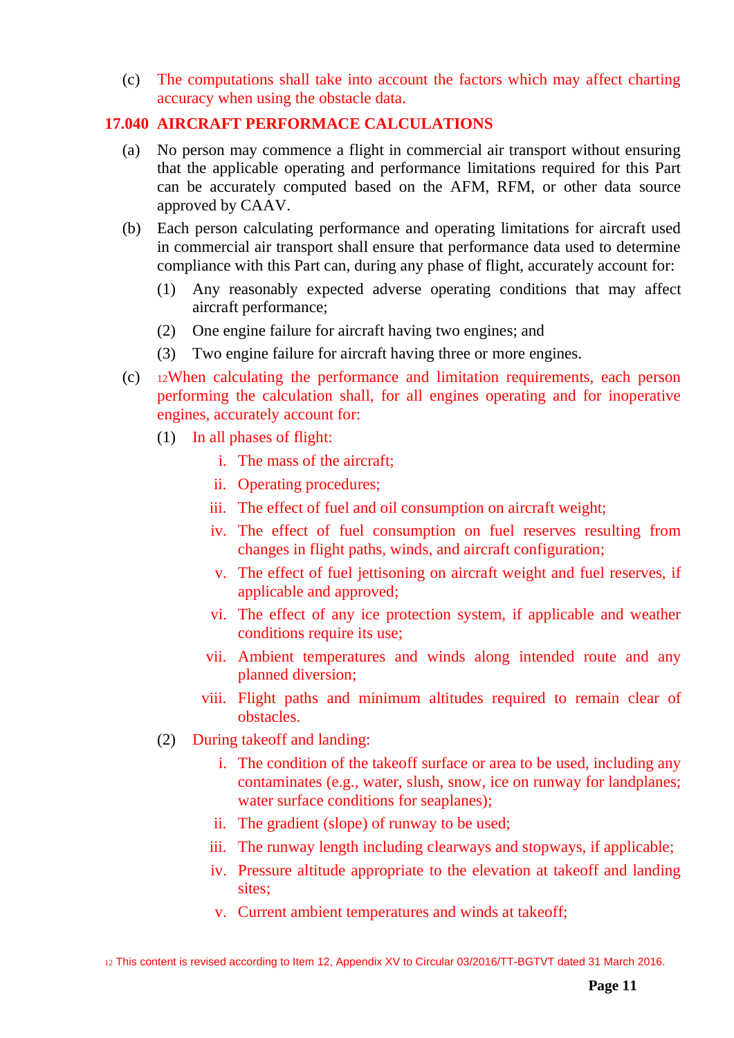(c) The computations shall take into account the factors which may affect charting accuracy when using the obstacle data.

# <span id="page-10-0"></span>**17.040 AIRCRAFT PERFORMACE CALCULATIONS**

- (a) No person may commence a flight in commercial air transport without ensuring that the applicable operating and performance limitations required for this Part can be accurately computed based on the AFM, RFM, or other data source approved by CAAV.
- (b) Each person calculating performance and operating limitations for aircraft used in commercial air transport shall ensure that performance data used to determine compliance with this Part can, during any phase of flight, accurately account for:
	- (1) Any reasonably expected adverse operating conditions that may affect aircraft performance;
	- (2) One engine failure for aircraft having two engines; and
	- (3) Two engine failure for aircraft having three or more engines.
- (c) <sup>12</sup>When calculating the performance and limitation requirements, each person performing the calculation shall, for all engines operating and for inoperative engines, accurately account for:
	- (1) In all phases of flight:
		- i. The mass of the aircraft;
		- ii. Operating procedures;
		- iii. The effect of fuel and oil consumption on aircraft weight;
		- iv. The effect of fuel consumption on fuel reserves resulting from changes in flight paths, winds, and aircraft configuration;
		- v. The effect of fuel jettisoning on aircraft weight and fuel reserves, if applicable and approved;
		- vi. The effect of any ice protection system, if applicable and weather conditions require its use;
		- vii. Ambient temperatures and winds along intended route and any planned diversion;
		- viii. Flight paths and minimum altitudes required to remain clear of obstacles.
	- (2) During takeoff and landing:
		- i. The condition of the takeoff surface or area to be used, including any contaminates (e.g., water, slush, snow, ice on runway for landplanes; water surface conditions for seaplanes);
		- ii. The gradient (slope) of runway to be used;
		- iii. The runway length including clearways and stopways, if applicable;
		- iv. Pressure altitude appropriate to the elevation at takeoff and landing sites;
		- v. Current ambient temperatures and winds at takeoff;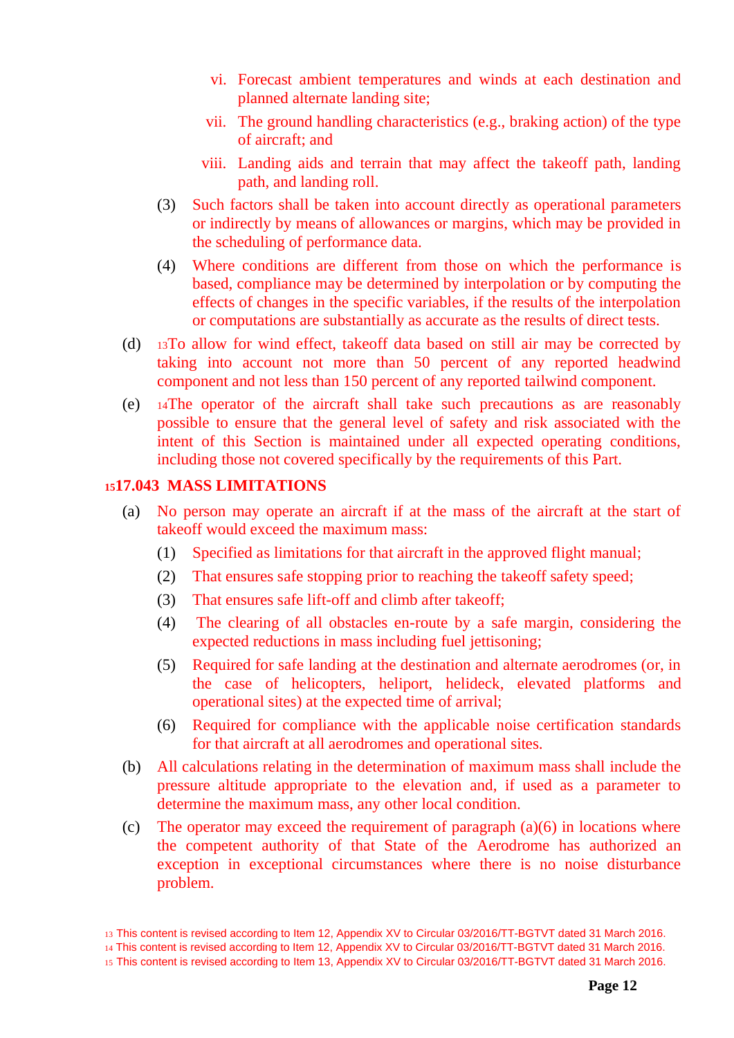- vi. Forecast ambient temperatures and winds at each destination and planned alternate landing site;
- vii. The ground handling characteristics (e.g., braking action) of the type of aircraft; and
- viii. Landing aids and terrain that may affect the takeoff path, landing path, and landing roll.
- (3) Such factors shall be taken into account directly as operational parameters or indirectly by means of allowances or margins, which may be provided in the scheduling of performance data.
- (4) Where conditions are different from those on which the performance is based, compliance may be determined by interpolation or by computing the effects of changes in the specific variables, if the results of the interpolation or computations are substantially as accurate as the results of direct tests.
- (d) <sup>13</sup>To allow for wind effect, takeoff data based on still air may be corrected by taking into account not more than 50 percent of any reported headwind component and not less than 150 percent of any reported tailwind component.
- (e) <sup>14</sup>The operator of the aircraft shall take such precautions as are reasonably possible to ensure that the general level of safety and risk associated with the intent of this Section is maintained under all expected operating conditions, including those not covered specifically by the requirements of this Part.

### <span id="page-11-0"></span>**<sup>15</sup>17.043 MASS LIMITATIONS**

- (a) No person may operate an aircraft if at the mass of the aircraft at the start of takeoff would exceed the maximum mass:
	- (1) Specified as limitations for that aircraft in the approved flight manual;
	- (2) That ensures safe stopping prior to reaching the takeoff safety speed;
	- (3) That ensures safe lift-off and climb after takeoff;
	- (4) The clearing of all obstacles en-route by a safe margin, considering the expected reductions in mass including fuel jettisoning;
	- (5) Required for safe landing at the destination and alternate aerodromes (or, in the case of helicopters, heliport, helideck, elevated platforms and operational sites) at the expected time of arrival;
	- (6) Required for compliance with the applicable noise certification standards for that aircraft at all aerodromes and operational sites.
- (b) All calculations relating in the determination of maximum mass shall include the pressure altitude appropriate to the elevation and, if used as a parameter to determine the maximum mass, any other local condition.
- (c) The operator may exceed the requirement of paragraph  $(a)(6)$  in locations where the competent authority of that State of the Aerodrome has authorized an exception in exceptional circumstances where there is no noise disturbance problem.

<sup>13</sup> This content is revised according to Item 12, Appendix XV to Circular 03/2016/TT-BGTVT dated 31 March 2016.

<sup>14</sup> This content is revised according to Item 12, Appendix XV to Circular 03/2016/TT-BGTVT dated 31 March 2016.

<sup>15</sup> This content is revised according to Item 13, Appendix XV to Circular 03/2016/TT-BGTVT dated 31 March 2016.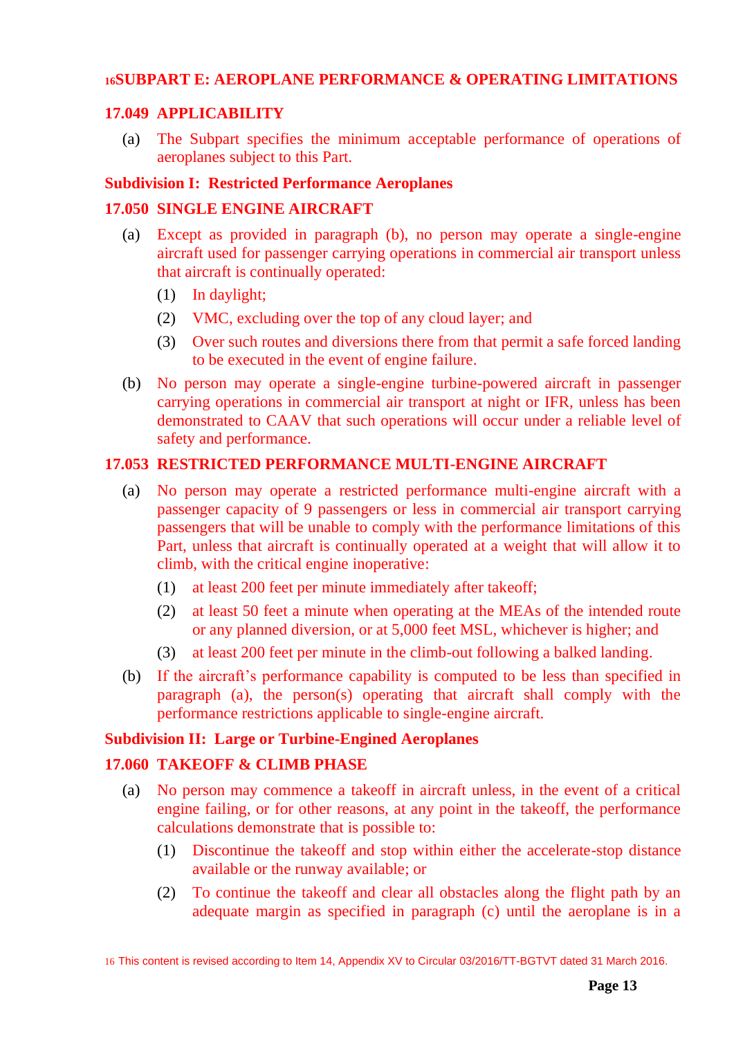### <span id="page-12-0"></span>**<sup>16</sup>SUBPART E: AEROPLANE PERFORMANCE & OPERATING LIMITATIONS**

#### <span id="page-12-1"></span>**17.049 APPLICABILITY**

(a) The Subpart specifies the minimum acceptable performance of operations of aeroplanes subject to this Part.

#### <span id="page-12-2"></span>**Subdivision I: Restricted Performance Aeroplanes**

#### <span id="page-12-3"></span>**17.050 SINGLE ENGINE AIRCRAFT**

- (a) Except as provided in paragraph (b), no person may operate a single-engine aircraft used for passenger carrying operations in commercial air transport unless that aircraft is continually operated:
	- (1) In daylight;
	- (2) VMC, excluding over the top of any cloud layer; and
	- (3) Over such routes and diversions there from that permit a safe forced landing to be executed in the event of engine failure.
- (b) No person may operate a single-engine turbine-powered aircraft in passenger carrying operations in commercial air transport at night or IFR, unless has been demonstrated to CAAV that such operations will occur under a reliable level of safety and performance.

### <span id="page-12-4"></span>**17.053 RESTRICTED PERFORMANCE MULTI-ENGINE AIRCRAFT**

- (a) No person may operate a restricted performance multi-engine aircraft with a passenger capacity of 9 passengers or less in commercial air transport carrying passengers that will be unable to comply with the performance limitations of this Part, unless that aircraft is continually operated at a weight that will allow it to climb, with the critical engine inoperative:
	- (1) at least 200 feet per minute immediately after takeoff;
	- (2) at least 50 feet a minute when operating at the MEAs of the intended route or any planned diversion, or at 5,000 feet MSL, whichever is higher; and
	- (3) at least 200 feet per minute in the climb-out following a balked landing.
- (b) If the aircraft's performance capability is computed to be less than specified in paragraph (a), the person(s) operating that aircraft shall comply with the performance restrictions applicable to single-engine aircraft.

#### <span id="page-12-5"></span>**Subdivision II: Large or Turbine-Engined Aeroplanes**

# <span id="page-12-6"></span>**17.060 TAKEOFF & CLIMB PHASE**

- (a) No person may commence a takeoff in aircraft unless, in the event of a critical engine failing, or for other reasons, at any point in the takeoff, the performance calculations demonstrate that is possible to:
	- (1) Discontinue the takeoff and stop within either the accelerate-stop distance available or the runway available; or
	- (2) To continue the takeoff and clear all obstacles along the flight path by an adequate margin as specified in paragraph (c) until the aeroplane is in a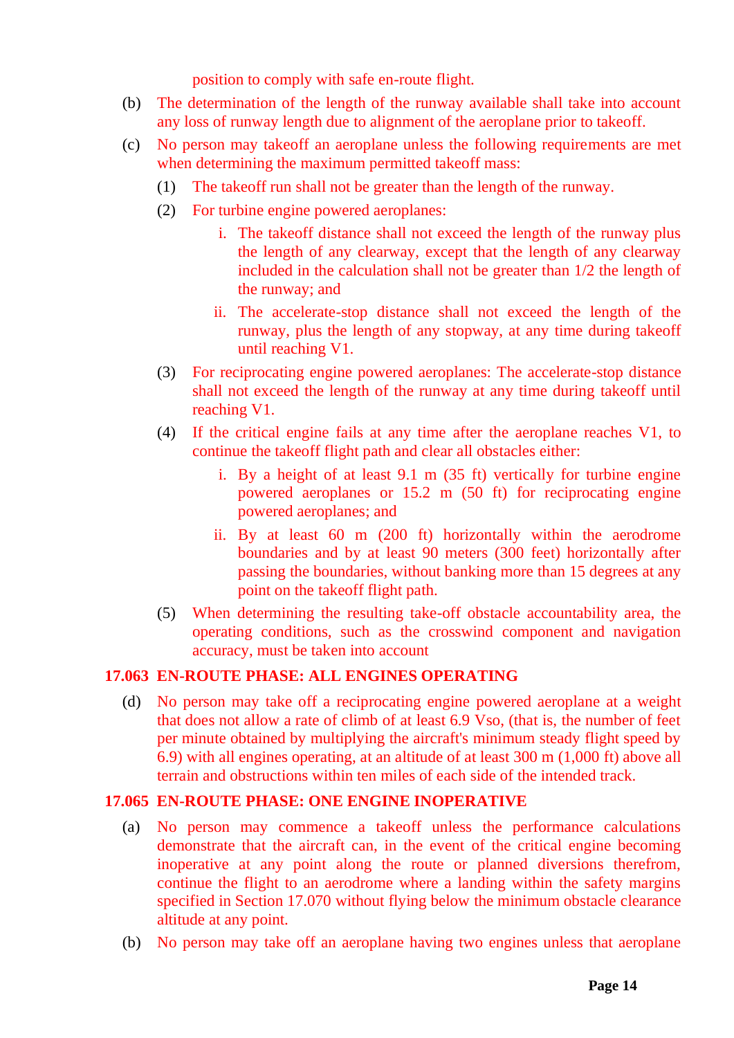position to comply with safe en-route flight.

- (b) The determination of the length of the runway available shall take into account any loss of runway length due to alignment of the aeroplane prior to takeoff.
- (c) No person may takeoff an aeroplane unless the following requirements are met when determining the maximum permitted takeoff mass:
	- (1) The takeoff run shall not be greater than the length of the runway.
	- (2) For turbine engine powered aeroplanes:
		- i. The takeoff distance shall not exceed the length of the runway plus the length of any clearway, except that the length of any clearway included in the calculation shall not be greater than 1/2 the length of the runway; and
		- ii. The accelerate-stop distance shall not exceed the length of the runway, plus the length of any stopway, at any time during takeoff until reaching V1.
	- (3) For reciprocating engine powered aeroplanes: The accelerate-stop distance shall not exceed the length of the runway at any time during takeoff until reaching V1.
	- (4) If the critical engine fails at any time after the aeroplane reaches V1, to continue the takeoff flight path and clear all obstacles either:
		- i. By a height of at least 9.1 m (35 ft) vertically for turbine engine powered aeroplanes or 15.2 m (50 ft) for reciprocating engine powered aeroplanes; and
		- ii. By at least 60 m (200 ft) horizontally within the aerodrome boundaries and by at least 90 meters (300 feet) horizontally after passing the boundaries, without banking more than 15 degrees at any point on the takeoff flight path.
	- (5) When determining the resulting take-off obstacle accountability area, the operating conditions, such as the crosswind component and navigation accuracy, must be taken into account

# <span id="page-13-0"></span>**17.063 EN-ROUTE PHASE: ALL ENGINES OPERATING**

(d) No person may take off a reciprocating engine powered aeroplane at a weight that does not allow a rate of climb of at least 6.9 Vso, (that is, the number of feet per minute obtained by multiplying the aircraft's minimum steady flight speed by 6.9) with all engines operating, at an altitude of at least 300 m (1,000 ft) above all terrain and obstructions within ten miles of each side of the intended track.

# <span id="page-13-1"></span>**17.065 EN-ROUTE PHASE: ONE ENGINE INOPERATIVE**

- (a) No person may commence a takeoff unless the performance calculations demonstrate that the aircraft can, in the event of the critical engine becoming inoperative at any point along the route or planned diversions therefrom, continue the flight to an aerodrome where a landing within the safety margins specified in Section 17.070 without flying below the minimum obstacle clearance altitude at any point.
- (b) No person may take off an aeroplane having two engines unless that aeroplane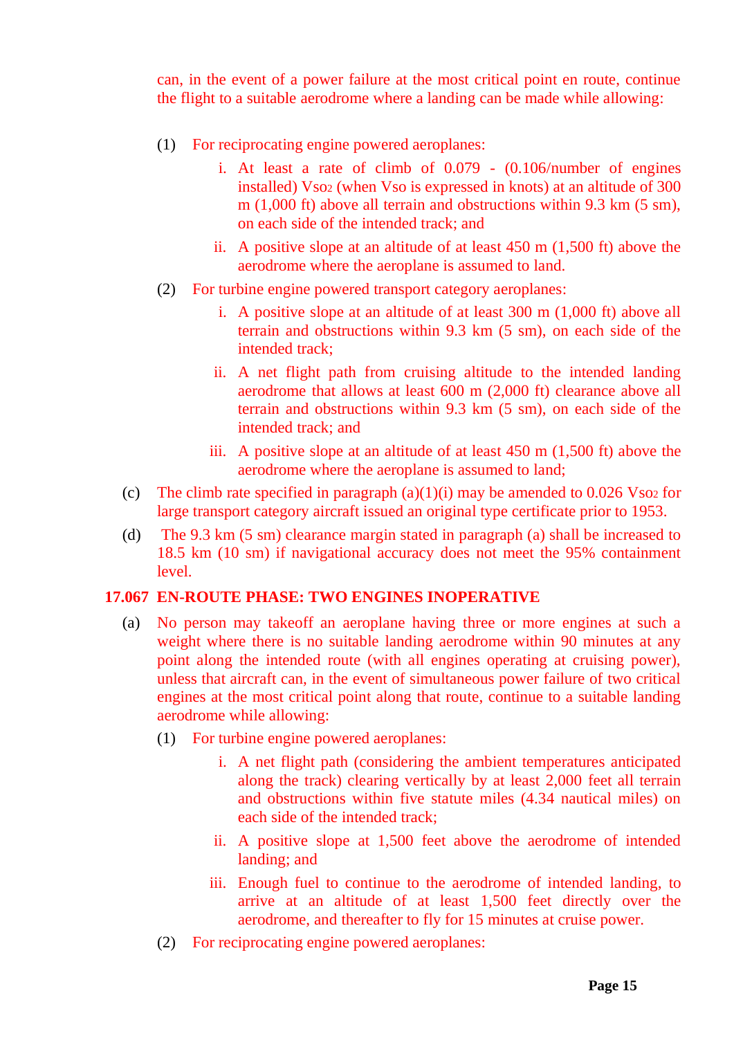can, in the event of a power failure at the most critical point en route, continue the flight to a suitable aerodrome where a landing can be made while allowing:

- (1) For reciprocating engine powered aeroplanes:
	- i. At least a rate of climb of 0.079 (0.106/number of engines installed) Vso<sub>2</sub> (when Vso is expressed in knots) at an altitude of 300 m (1,000 ft) above all terrain and obstructions within 9.3 km (5 sm), on each side of the intended track; and
	- ii. A positive slope at an altitude of at least 450 m (1,500 ft) above the aerodrome where the aeroplane is assumed to land.
- (2) For turbine engine powered transport category aeroplanes:
	- i. A positive slope at an altitude of at least 300 m (1,000 ft) above all terrain and obstructions within 9.3 km (5 sm), on each side of the intended track;
	- ii. A net flight path from cruising altitude to the intended landing aerodrome that allows at least 600 m (2,000 ft) clearance above all terrain and obstructions within 9.3 km (5 sm), on each side of the intended track; and
	- iii. A positive slope at an altitude of at least 450 m (1,500 ft) above the aerodrome where the aeroplane is assumed to land;
- (c) The climb rate specified in paragraph  $(a)(1)(i)$  may be amended to 0.026 Vso<sub>2</sub> for large transport category aircraft issued an original type certificate prior to 1953.
- (d) The 9.3 km (5 sm) clearance margin stated in paragraph (a) shall be increased to 18.5 km (10 sm) if navigational accuracy does not meet the 95% containment level.

#### <span id="page-14-0"></span>**17.067 EN-ROUTE PHASE: TWO ENGINES INOPERATIVE**

- (a) No person may takeoff an aeroplane having three or more engines at such a weight where there is no suitable landing aerodrome within 90 minutes at any point along the intended route (with all engines operating at cruising power), unless that aircraft can, in the event of simultaneous power failure of two critical engines at the most critical point along that route, continue to a suitable landing aerodrome while allowing:
	- (1) For turbine engine powered aeroplanes:
		- i. A net flight path (considering the ambient temperatures anticipated along the track) clearing vertically by at least 2,000 feet all terrain and obstructions within five statute miles (4.34 nautical miles) on each side of the intended track;
		- ii. A positive slope at 1,500 feet above the aerodrome of intended landing; and
		- iii. Enough fuel to continue to the aerodrome of intended landing, to arrive at an altitude of at least 1,500 feet directly over the aerodrome, and thereafter to fly for 15 minutes at cruise power.
	- (2) For reciprocating engine powered aeroplanes: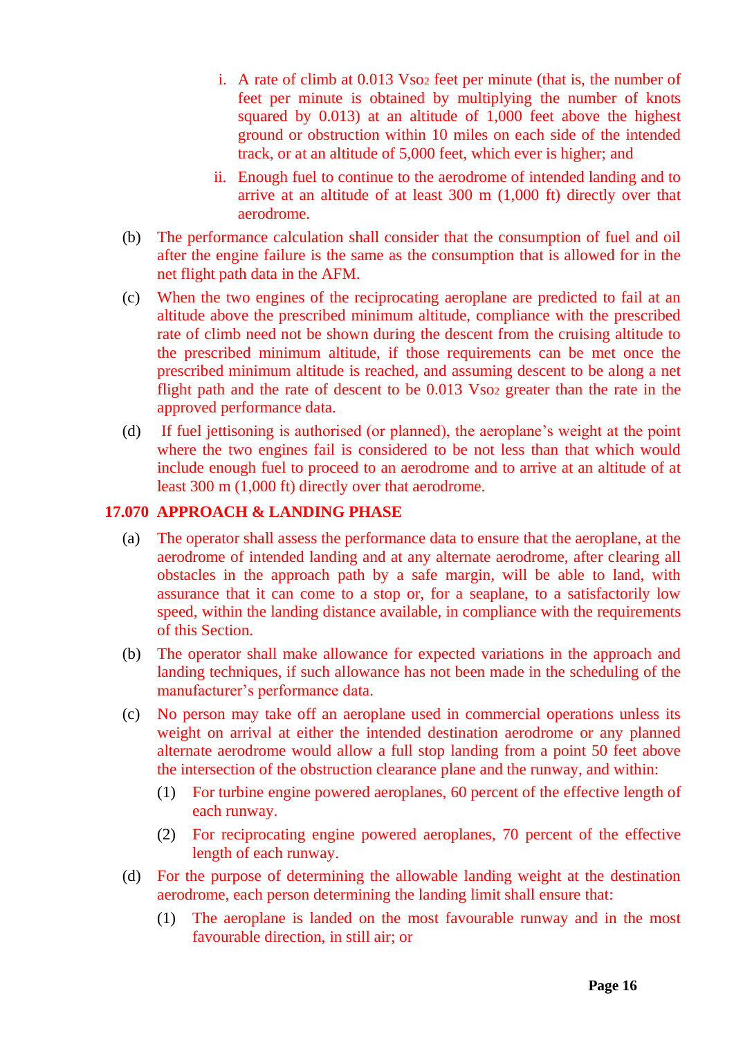- i. A rate of climb at 0.013 Vso<sup>2</sup> feet per minute (that is, the number of feet per minute is obtained by multiplying the number of knots squared by 0.013) at an altitude of 1,000 feet above the highest ground or obstruction within 10 miles on each side of the intended track, or at an altitude of 5,000 feet, which ever is higher; and
- ii. Enough fuel to continue to the aerodrome of intended landing and to arrive at an altitude of at least 300 m (1,000 ft) directly over that aerodrome.
- (b) The performance calculation shall consider that the consumption of fuel and oil after the engine failure is the same as the consumption that is allowed for in the net flight path data in the AFM.
- (c) When the two engines of the reciprocating aeroplane are predicted to fail at an altitude above the prescribed minimum altitude, compliance with the prescribed rate of climb need not be shown during the descent from the cruising altitude to the prescribed minimum altitude, if those requirements can be met once the prescribed minimum altitude is reached, and assuming descent to be along a net flight path and the rate of descent to be 0.013 Vso<sub>2</sub> greater than the rate in the approved performance data.
- (d) If fuel jettisoning is authorised (or planned), the aeroplane's weight at the point where the two engines fail is considered to be not less than that which would include enough fuel to proceed to an aerodrome and to arrive at an altitude of at least 300 m (1,000 ft) directly over that aerodrome.

# <span id="page-15-0"></span>**17.070 APPROACH & LANDING PHASE**

- (a) The operator shall assess the performance data to ensure that the aeroplane, at the aerodrome of intended landing and at any alternate aerodrome, after clearing all obstacles in the approach path by a safe margin, will be able to land, with assurance that it can come to a stop or, for a seaplane, to a satisfactorily low speed, within the landing distance available, in compliance with the requirements of this Section.
- (b) The operator shall make allowance for expected variations in the approach and landing techniques, if such allowance has not been made in the scheduling of the manufacturer's performance data.
- (c) No person may take off an aeroplane used in commercial operations unless its weight on arrival at either the intended destination aerodrome or any planned alternate aerodrome would allow a full stop landing from a point 50 feet above the intersection of the obstruction clearance plane and the runway, and within:
	- (1) For turbine engine powered aeroplanes, 60 percent of the effective length of each runway.
	- (2) For reciprocating engine powered aeroplanes, 70 percent of the effective length of each runway.
- (d) For the purpose of determining the allowable landing weight at the destination aerodrome, each person determining the landing limit shall ensure that:
	- (1) The aeroplane is landed on the most favourable runway and in the most favourable direction, in still air; or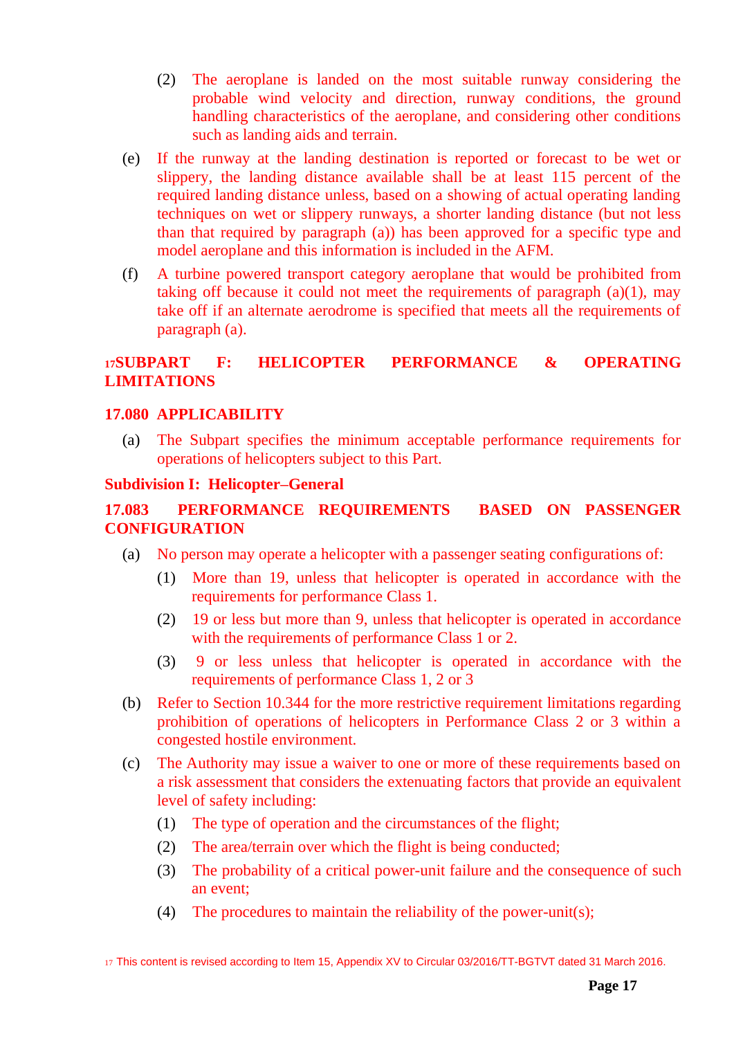- (2) The aeroplane is landed on the most suitable runway considering the probable wind velocity and direction, runway conditions, the ground handling characteristics of the aeroplane, and considering other conditions such as landing aids and terrain.
- (e) If the runway at the landing destination is reported or forecast to be wet or slippery, the landing distance available shall be at least 115 percent of the required landing distance unless, based on a showing of actual operating landing techniques on wet or slippery runways, a shorter landing distance (but not less than that required by paragraph (a)) has been approved for a specific type and model aeroplane and this information is included in the AFM.
- (f) A turbine powered transport category aeroplane that would be prohibited from taking off because it could not meet the requirements of paragraph (a)(1), may take off if an alternate aerodrome is specified that meets all the requirements of paragraph (a).

# **<sup>17</sup>SUBPART F: HELICOPTER PERFORMANCE & OPERATING LIMITATIONS**

# <span id="page-16-0"></span>**17.080 APPLICABILITY**

(a) The Subpart specifies the minimum acceptable performance requirements for operations of helicopters subject to this Part.

#### <span id="page-16-1"></span>**Subdivision I: Helicopter–General**

# <span id="page-16-2"></span>**17.083 PERFORMANCE REQUIREMENTS BASED ON PASSENGER CONFIGURATION**

- (a) No person may operate a helicopter with a passenger seating configurations of:
	- (1) More than 19, unless that helicopter is operated in accordance with the requirements for performance Class 1.
	- (2) 19 or less but more than 9, unless that helicopter is operated in accordance with the requirements of performance Class 1 or 2.
	- (3) 9 or less unless that helicopter is operated in accordance with the requirements of performance Class 1, 2 or 3
- (b) Refer to Section 10.344 for the more restrictive requirement limitations regarding prohibition of operations of helicopters in Performance Class 2 or 3 within a congested hostile environment.
- (c) The Authority may issue a waiver to one or more of these requirements based on a risk assessment that considers the extenuating factors that provide an equivalent level of safety including:
	- (1) The type of operation and the circumstances of the flight;
	- (2) The area/terrain over which the flight is being conducted;
	- (3) The probability of a critical power-unit failure and the consequence of such an event;
	- (4) The procedures to maintain the reliability of the power-unit(s);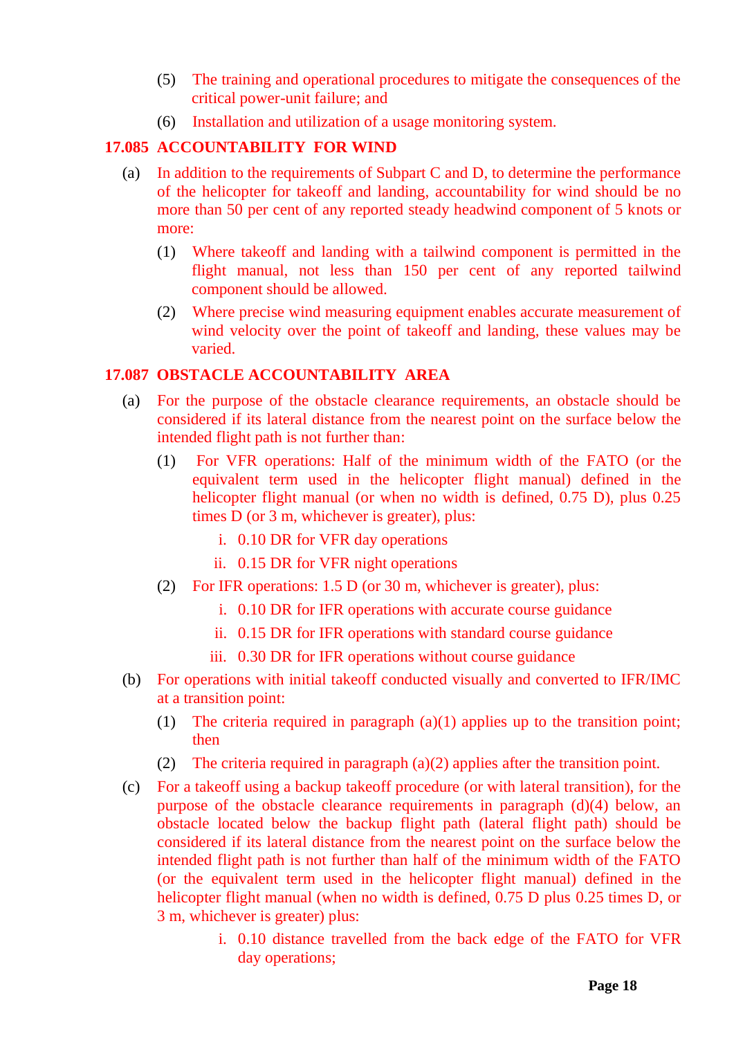- (5) The training and operational procedures to mitigate the consequences of the critical power-unit failure; and
- (6) Installation and utilization of a usage monitoring system.

# <span id="page-17-0"></span>**17.085 ACCOUNTABILITY FOR WIND**

- (a) In addition to the requirements of Subpart C and D, to determine the performance of the helicopter for takeoff and landing, accountability for wind should be no more than 50 per cent of any reported steady headwind component of 5 knots or more:
	- (1) Where takeoff and landing with a tailwind component is permitted in the flight manual, not less than 150 per cent of any reported tailwind component should be allowed.
	- (2) Where precise wind measuring equipment enables accurate measurement of wind velocity over the point of takeoff and landing, these values may be varied.

# <span id="page-17-1"></span>**17.087 OBSTACLE ACCOUNTABILITY AREA**

- (a) For the purpose of the obstacle clearance requirements, an obstacle should be considered if its lateral distance from the nearest point on the surface below the intended flight path is not further than:
	- (1) For VFR operations: Half of the minimum width of the FATO (or the equivalent term used in the helicopter flight manual) defined in the helicopter flight manual (or when no width is defined, 0.75 D), plus 0.25 times D (or 3 m, whichever is greater), plus:
		- i. 0.10 DR for VFR day operations
		- ii. 0.15 DR for VFR night operations
	- (2) For IFR operations: 1.5 D (or 30 m, whichever is greater), plus:
		- i. 0.10 DR for IFR operations with accurate course guidance
		- ii. 0.15 DR for IFR operations with standard course guidance
		- iii. 0.30 DR for IFR operations without course guidance
- (b) For operations with initial takeoff conducted visually and converted to IFR/IMC at a transition point:
	- (1) The criteria required in paragraph (a)(1) applies up to the transition point; then
	- (2) The criteria required in paragraph (a)(2) applies after the transition point.
- (c) For a takeoff using a backup takeoff procedure (or with lateral transition), for the purpose of the obstacle clearance requirements in paragraph (d)(4) below, an obstacle located below the backup flight path (lateral flight path) should be considered if its lateral distance from the nearest point on the surface below the intended flight path is not further than half of the minimum width of the FATO (or the equivalent term used in the helicopter flight manual) defined in the helicopter flight manual (when no width is defined, 0.75 D plus 0.25 times D, or 3 m, whichever is greater) plus:
	- i. 0.10 distance travelled from the back edge of the FATO for VFR day operations;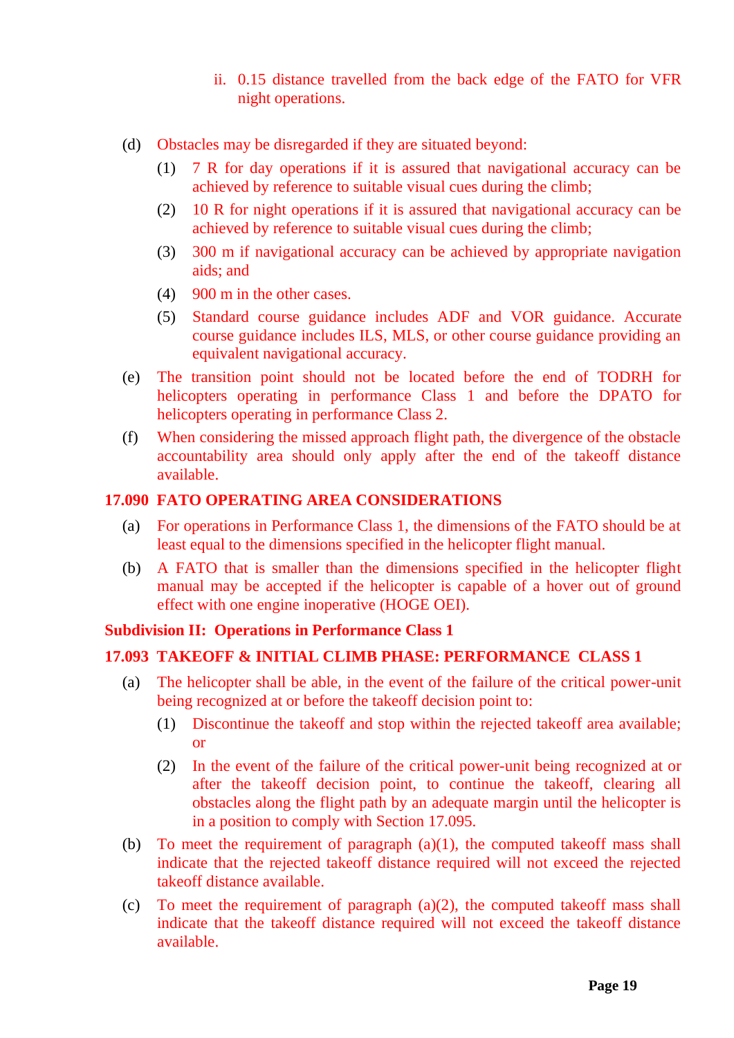- ii. 0.15 distance travelled from the back edge of the FATO for VFR night operations.
- (d) Obstacles may be disregarded if they are situated beyond:
	- (1) 7 R for day operations if it is assured that navigational accuracy can be achieved by reference to suitable visual cues during the climb;
	- (2) 10 R for night operations if it is assured that navigational accuracy can be achieved by reference to suitable visual cues during the climb;
	- (3) 300 m if navigational accuracy can be achieved by appropriate navigation aids; and
	- (4) 900 m in the other cases.
	- (5) Standard course guidance includes ADF and VOR guidance. Accurate course guidance includes ILS, MLS, or other course guidance providing an equivalent navigational accuracy.
- (e) The transition point should not be located before the end of TODRH for helicopters operating in performance Class 1 and before the DPATO for helicopters operating in performance Class 2.
- (f) When considering the missed approach flight path, the divergence of the obstacle accountability area should only apply after the end of the takeoff distance available.

### <span id="page-18-0"></span>**17.090 FATO OPERATING AREA CONSIDERATIONS**

- (a) For operations in Performance Class 1, the dimensions of the FATO should be at least equal to the dimensions specified in the helicopter flight manual.
- (b) A FATO that is smaller than the dimensions specified in the helicopter flight manual may be accepted if the helicopter is capable of a hover out of ground effect with one engine inoperative (HOGE OEI).

#### <span id="page-18-1"></span>**Subdivision II: Operations in Performance Class 1**

# <span id="page-18-2"></span>**17.093 TAKEOFF & INITIAL CLIMB PHASE: PERFORMANCE CLASS 1**

- (a) The helicopter shall be able, in the event of the failure of the critical power-unit being recognized at or before the takeoff decision point to:
	- (1) Discontinue the takeoff and stop within the rejected takeoff area available; or
	- (2) In the event of the failure of the critical power-unit being recognized at or after the takeoff decision point, to continue the takeoff, clearing all obstacles along the flight path by an adequate margin until the helicopter is in a position to comply with Section 17.095.
- (b) To meet the requirement of paragraph  $(a)(1)$ , the computed takeoff mass shall indicate that the rejected takeoff distance required will not exceed the rejected takeoff distance available.
- (c) To meet the requirement of paragraph (a)(2), the computed takeoff mass shall indicate that the takeoff distance required will not exceed the takeoff distance available.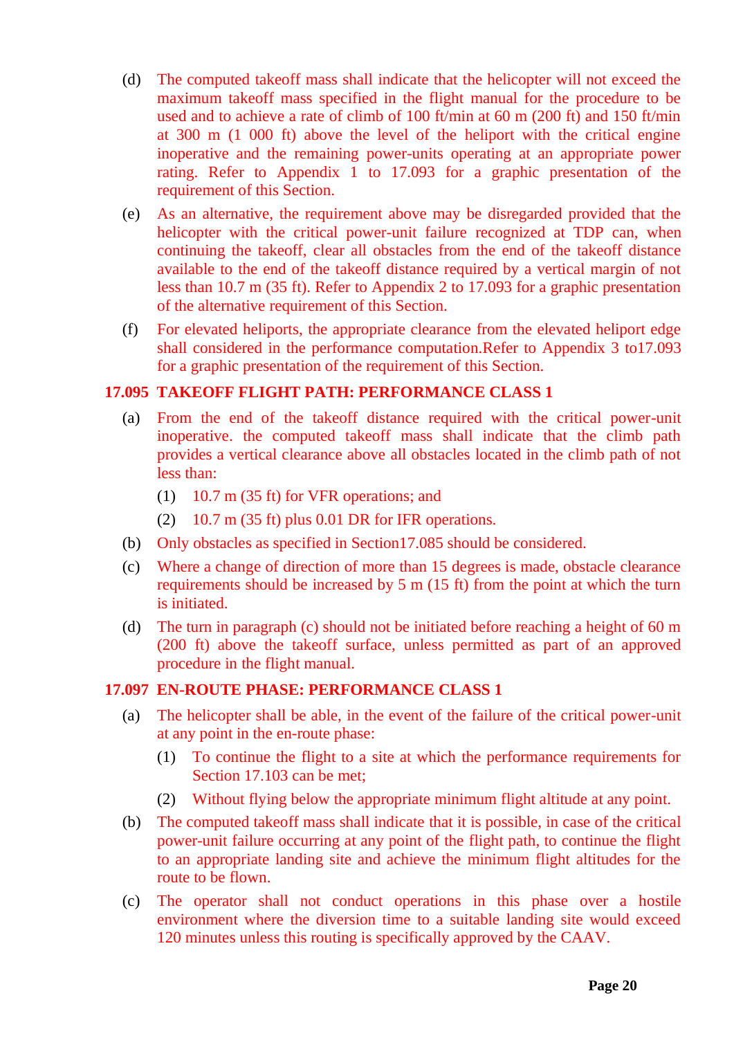- (d) The computed takeoff mass shall indicate that the helicopter will not exceed the maximum takeoff mass specified in the flight manual for the procedure to be used and to achieve a rate of climb of 100 ft/min at 60 m (200 ft) and 150 ft/min at 300 m (1 000 ft) above the level of the heliport with the critical engine inoperative and the remaining power-units operating at an appropriate power rating. Refer to Appendix 1 to 17.093 for a graphic presentation of the requirement of this Section.
- (e) As an alternative, the requirement above may be disregarded provided that the helicopter with the critical power-unit failure recognized at TDP can, when continuing the takeoff, clear all obstacles from the end of the takeoff distance available to the end of the takeoff distance required by a vertical margin of not less than 10.7 m (35 ft). Refer to Appendix 2 to 17.093 for a graphic presentation of the alternative requirement of this Section.
- (f) For elevated heliports, the appropriate clearance from the elevated heliport edge shall considered in the performance computation.Refer to Appendix 3 to17.093 for a graphic presentation of the requirement of this Section.

#### <span id="page-19-0"></span>**17.095 TAKEOFF FLIGHT PATH: PERFORMANCE CLASS 1**

- (a) From the end of the takeoff distance required with the critical power-unit inoperative. the computed takeoff mass shall indicate that the climb path provides a vertical clearance above all obstacles located in the climb path of not less than:
	- (1) 10.7 m (35 ft) for VFR operations; and
	- $(2)$  10.7 m (35 ft) plus 0.01 DR for IFR operations.
- (b) Only obstacles as specified in Section17.085 should be considered.
- (c) Where a change of direction of more than 15 degrees is made, obstacle clearance requirements should be increased by 5 m (15 ft) from the point at which the turn is initiated.
- (d) The turn in paragraph (c) should not be initiated before reaching a height of 60 m (200 ft) above the takeoff surface, unless permitted as part of an approved procedure in the flight manual.

# <span id="page-19-1"></span>**17.097 EN-ROUTE PHASE: PERFORMANCE CLASS 1**

- (a) The helicopter shall be able, in the event of the failure of the critical power-unit at any point in the en-route phase:
	- (1) To continue the flight to a site at which the performance requirements for Section 17.103 can be met;
	- (2) Without flying below the appropriate minimum flight altitude at any point.
- (b) The computed takeoff mass shall indicate that it is possible, in case of the critical power-unit failure occurring at any point of the flight path, to continue the flight to an appropriate landing site and achieve the minimum flight altitudes for the route to be flown.
- (c) The operator shall not conduct operations in this phase over a hostile environment where the diversion time to a suitable landing site would exceed 120 minutes unless this routing is specifically approved by the CAAV.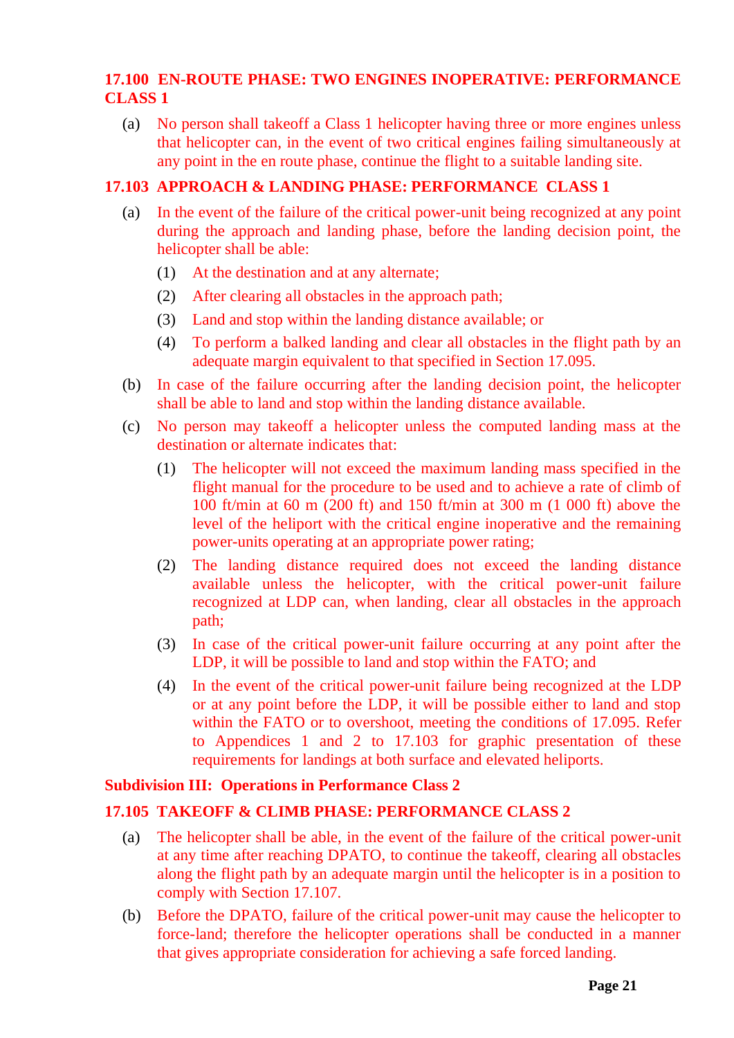# <span id="page-20-0"></span>**17.100 EN-ROUTE PHASE: TWO ENGINES INOPERATIVE: PERFORMANCE CLASS 1**

(a) No person shall takeoff a Class 1 helicopter having three or more engines unless that helicopter can, in the event of two critical engines failing simultaneously at any point in the en route phase, continue the flight to a suitable landing site.

### <span id="page-20-1"></span>**17.103 APPROACH & LANDING PHASE: PERFORMANCE CLASS 1**

- (a) In the event of the failure of the critical power-unit being recognized at any point during the approach and landing phase, before the landing decision point, the helicopter shall be able:
	- (1) At the destination and at any alternate;
	- (2) After clearing all obstacles in the approach path;
	- (3) Land and stop within the landing distance available; or
	- (4) To perform a balked landing and clear all obstacles in the flight path by an adequate margin equivalent to that specified in Section 17.095.
- (b) In case of the failure occurring after the landing decision point, the helicopter shall be able to land and stop within the landing distance available.
- (c) No person may takeoff a helicopter unless the computed landing mass at the destination or alternate indicates that:
	- (1) The helicopter will not exceed the maximum landing mass specified in the flight manual for the procedure to be used and to achieve a rate of climb of 100 ft/min at 60 m (200 ft) and 150 ft/min at 300 m (1 000 ft) above the level of the heliport with the critical engine inoperative and the remaining power-units operating at an appropriate power rating;
	- (2) The landing distance required does not exceed the landing distance available unless the helicopter, with the critical power-unit failure recognized at LDP can, when landing, clear all obstacles in the approach path;
	- (3) In case of the critical power-unit failure occurring at any point after the LDP, it will be possible to land and stop within the FATO; and
	- (4) In the event of the critical power-unit failure being recognized at the LDP or at any point before the LDP, it will be possible either to land and stop within the FATO or to overshoot, meeting the conditions of 17.095. Refer to Appendices 1 and 2 to 17.103 for graphic presentation of these requirements for landings at both surface and elevated heliports.

#### <span id="page-20-2"></span>**Subdivision III: Operations in Performance Class 2**

# <span id="page-20-3"></span>**17.105 TAKEOFF & CLIMB PHASE: PERFORMANCE CLASS 2**

- (a) The helicopter shall be able, in the event of the failure of the critical power-unit at any time after reaching DPATO, to continue the takeoff, clearing all obstacles along the flight path by an adequate margin until the helicopter is in a position to comply with Section 17.107.
- (b) Before the DPATO, failure of the critical power-unit may cause the helicopter to force-land; therefore the helicopter operations shall be conducted in a manner that gives appropriate consideration for achieving a safe forced landing.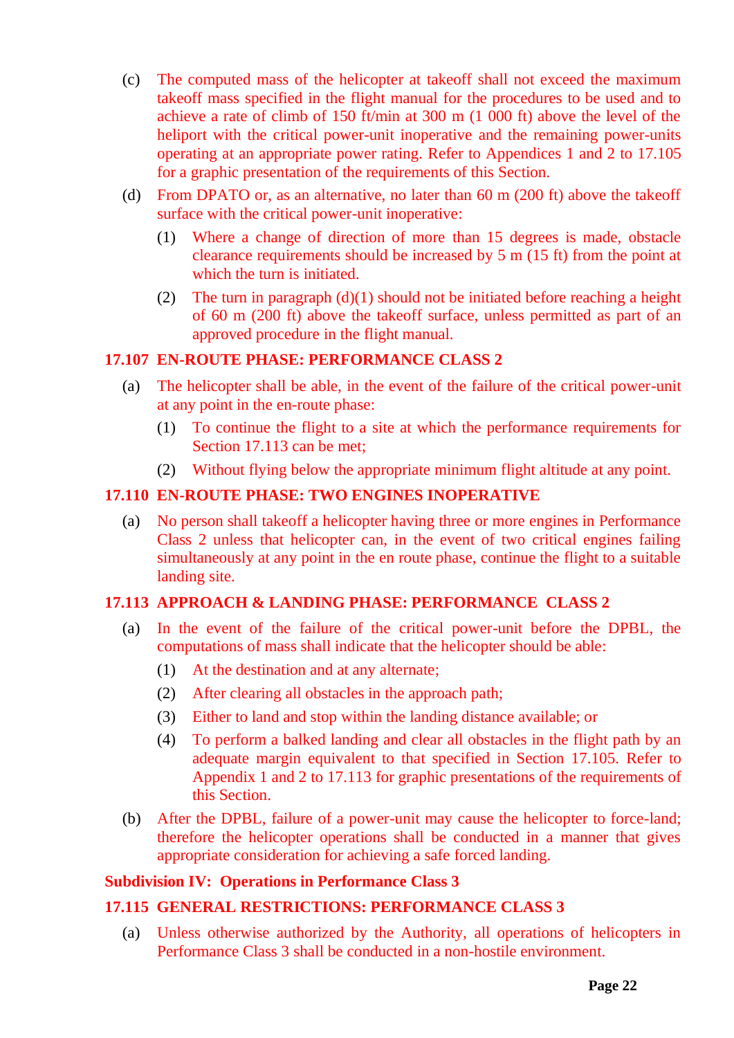- (c) The computed mass of the helicopter at takeoff shall not exceed the maximum takeoff mass specified in the flight manual for the procedures to be used and to achieve a rate of climb of 150 ft/min at 300 m (1 000 ft) above the level of the heliport with the critical power-unit inoperative and the remaining power-units operating at an appropriate power rating. Refer to Appendices 1 and 2 to 17.105 for a graphic presentation of the requirements of this Section.
- (d) From DPATO or, as an alternative, no later than 60 m (200 ft) above the takeoff surface with the critical power-unit inoperative:
	- (1) Where a change of direction of more than 15 degrees is made, obstacle clearance requirements should be increased by 5 m (15 ft) from the point at which the turn is initiated.
	- (2) The turn in paragraph  $(d)(1)$  should not be initiated before reaching a height of 60 m (200 ft) above the takeoff surface, unless permitted as part of an approved procedure in the flight manual.

### <span id="page-21-0"></span>**17.107 EN-ROUTE PHASE: PERFORMANCE CLASS 2**

- (a) The helicopter shall be able, in the event of the failure of the critical power-unit at any point in the en-route phase:
	- (1) To continue the flight to a site at which the performance requirements for Section 17.113 can be met;
	- (2) Without flying below the appropriate minimum flight altitude at any point.

### <span id="page-21-1"></span>**17.110 EN-ROUTE PHASE: TWO ENGINES INOPERATIVE**

(a) No person shall takeoff a helicopter having three or more engines in Performance Class 2 unless that helicopter can, in the event of two critical engines failing simultaneously at any point in the en route phase, continue the flight to a suitable landing site.

### <span id="page-21-2"></span>**17.113 APPROACH & LANDING PHASE: PERFORMANCE CLASS 2**

- (a) In the event of the failure of the critical power-unit before the DPBL, the computations of mass shall indicate that the helicopter should be able:
	- (1) At the destination and at any alternate;
	- (2) After clearing all obstacles in the approach path;
	- (3) Either to land and stop within the landing distance available; or
	- (4) To perform a balked landing and clear all obstacles in the flight path by an adequate margin equivalent to that specified in Section 17.105. Refer to Appendix 1 and 2 to 17.113 for graphic presentations of the requirements of this Section.
- (b) After the DPBL, failure of a power-unit may cause the helicopter to force-land; therefore the helicopter operations shall be conducted in a manner that gives appropriate consideration for achieving a safe forced landing.

#### <span id="page-21-3"></span>**Subdivision IV: Operations in Performance Class 3**

# <span id="page-21-4"></span>**17.115 GENERAL RESTRICTIONS: PERFORMANCE CLASS 3**

(a) Unless otherwise authorized by the Authority, all operations of helicopters in Performance Class 3 shall be conducted in a non-hostile environment.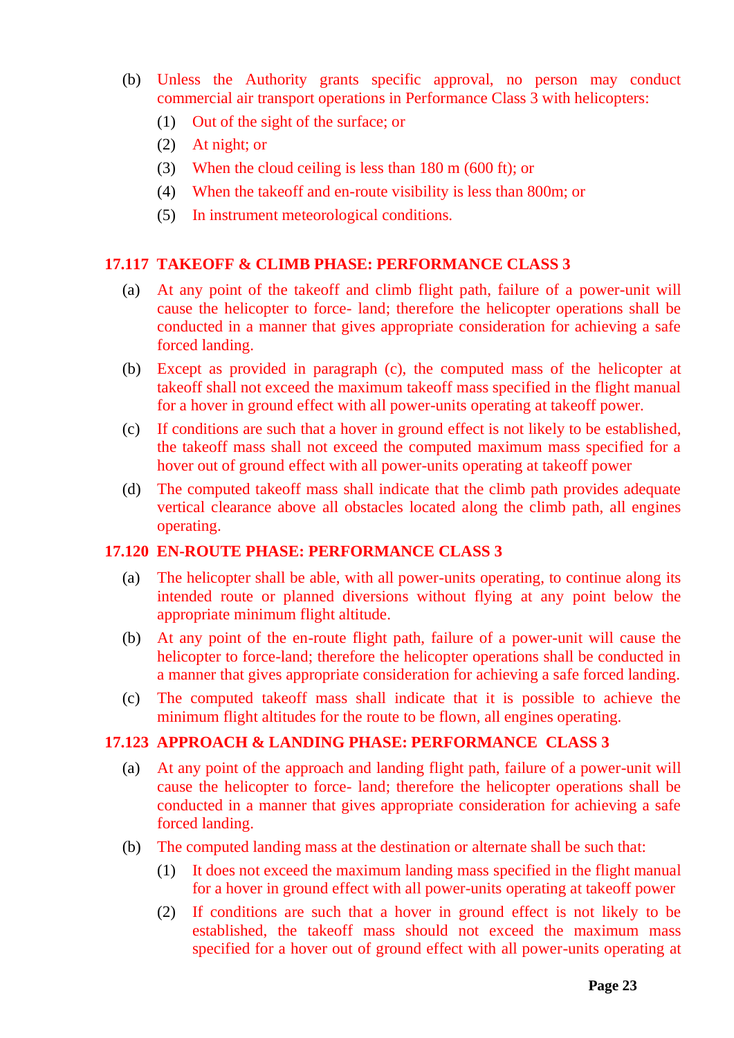- (b) Unless the Authority grants specific approval, no person may conduct commercial air transport operations in Performance Class 3 with helicopters:
	- (1) Out of the sight of the surface; or
	- (2) At night; or
	- (3) When the cloud ceiling is less than 180 m (600 ft); or
	- (4) When the takeoff and en-route visibility is less than 800m; or
	- (5) In instrument meteorological conditions.

#### <span id="page-22-0"></span>**17.117 TAKEOFF & CLIMB PHASE: PERFORMANCE CLASS 3**

- (a) At any point of the takeoff and climb flight path, failure of a power-unit will cause the helicopter to force- land; therefore the helicopter operations shall be conducted in a manner that gives appropriate consideration for achieving a safe forced landing.
- (b) Except as provided in paragraph (c), the computed mass of the helicopter at takeoff shall not exceed the maximum takeoff mass specified in the flight manual for a hover in ground effect with all power-units operating at takeoff power.
- (c) If conditions are such that a hover in ground effect is not likely to be established, the takeoff mass shall not exceed the computed maximum mass specified for a hover out of ground effect with all power-units operating at takeoff power
- (d) The computed takeoff mass shall indicate that the climb path provides adequate vertical clearance above all obstacles located along the climb path, all engines operating.

### <span id="page-22-1"></span>**17.120 EN-ROUTE PHASE: PERFORMANCE CLASS 3**

- (a) The helicopter shall be able, with all power-units operating, to continue along its intended route or planned diversions without flying at any point below the appropriate minimum flight altitude.
- (b) At any point of the en-route flight path, failure of a power-unit will cause the helicopter to force-land; therefore the helicopter operations shall be conducted in a manner that gives appropriate consideration for achieving a safe forced landing.
- (c) The computed takeoff mass shall indicate that it is possible to achieve the minimum flight altitudes for the route to be flown, all engines operating.

#### <span id="page-22-2"></span>**17.123 APPROACH & LANDING PHASE: PERFORMANCE CLASS 3**

- (a) At any point of the approach and landing flight path, failure of a power-unit will cause the helicopter to force- land; therefore the helicopter operations shall be conducted in a manner that gives appropriate consideration for achieving a safe forced landing.
- (b) The computed landing mass at the destination or alternate shall be such that:
	- (1) It does not exceed the maximum landing mass specified in the flight manual for a hover in ground effect with all power-units operating at takeoff power
	- (2) If conditions are such that a hover in ground effect is not likely to be established, the takeoff mass should not exceed the maximum mass specified for a hover out of ground effect with all power-units operating at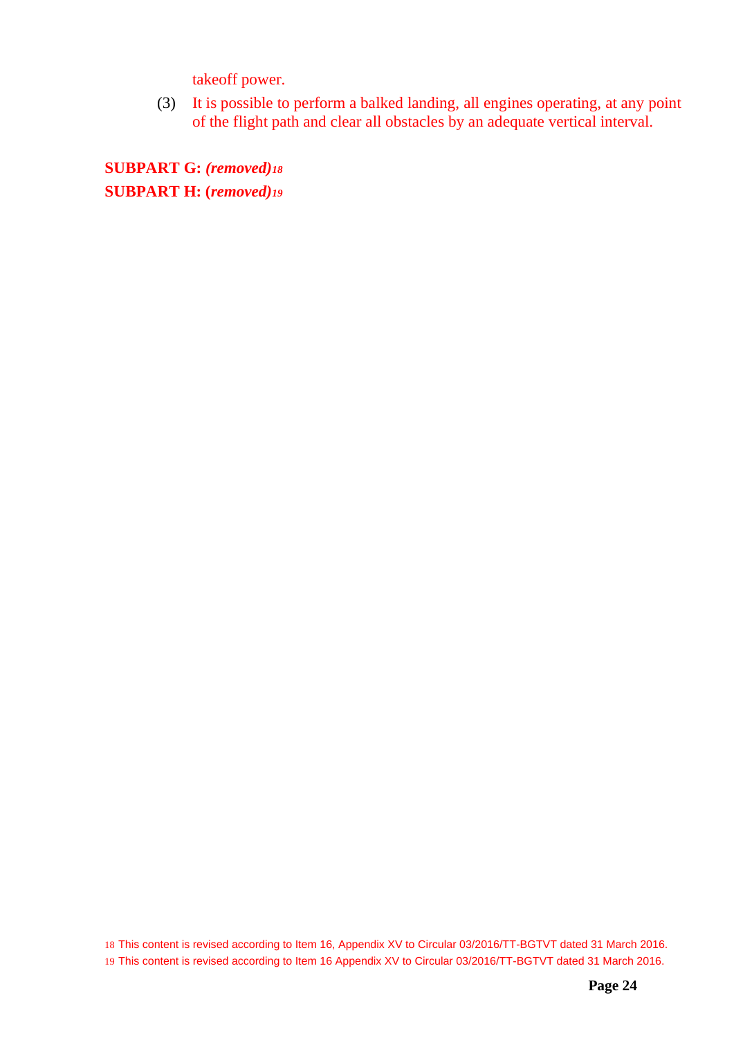takeoff power.

(3) It is possible to perform a balked landing, all engines operating, at any point of the flight path and clear all obstacles by an adequate vertical interval.

**SUBPART G:** *(removed)<sup>18</sup>* **SUBPART H: (***removed)<sup>19</sup>*

18 This content is revised according to Item 16, Appendix XV to Circular 03/2016/TT-BGTVT dated 31 March 2016. 19 This content is revised according to Item 16 Appendix XV to Circular 03/2016/TT-BGTVT dated 31 March 2016.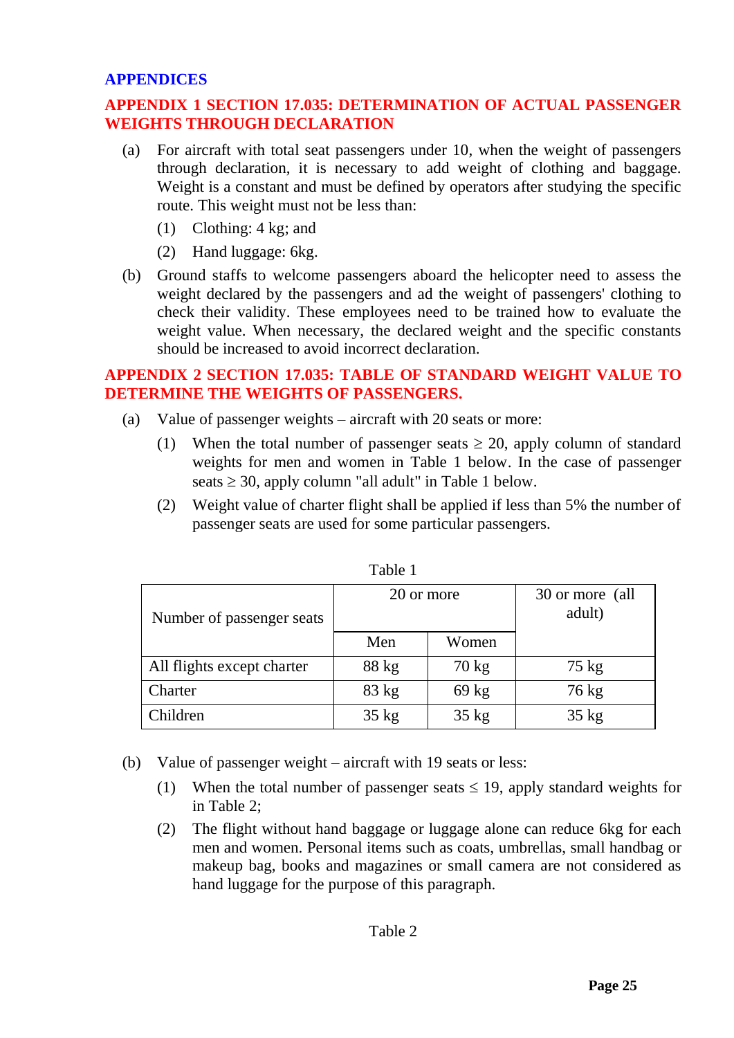#### <span id="page-24-0"></span>**APPENDICES**

# <span id="page-24-1"></span>**APPENDIX 1 SECTION 17.035: DETERMINATION OF ACTUAL PASSENGER WEIGHTS THROUGH DECLARATION**

- (a) For aircraft with total seat passengers under 10, when the weight of passengers through declaration, it is necessary to add weight of clothing and baggage. Weight is a constant and must be defined by operators after studying the specific route. This weight must not be less than:
	- (1) Clothing: 4 kg; and
	- (2) Hand luggage: 6kg.
- (b) Ground staffs to welcome passengers aboard the helicopter need to assess the weight declared by the passengers and ad the weight of passengers' clothing to check their validity. These employees need to be trained how to evaluate the weight value. When necessary, the declared weight and the specific constants should be increased to avoid incorrect declaration.

### <span id="page-24-2"></span>**APPENDIX 2 SECTION 17.035: TABLE OF STANDARD WEIGHT VALUE TO DETERMINE THE WEIGHTS OF PASSENGERS.**

- (a) Value of passenger weights aircraft with 20 seats or more:
	- (1) When the total number of passenger seats  $\geq$  20, apply column of standard weights for men and women in Table 1 below. In the case of passenger seats  $\geq$  30, apply column "all adult" in Table 1 below.
	- (2) Weight value of charter flight shall be applied if less than 5% the number of passenger seats are used for some particular passengers.

| Number of passenger seats  | 20 or more      |                 | 30 or more (all<br>adult) |
|----------------------------|-----------------|-----------------|---------------------------|
|                            | Men             | Women           |                           |
| All flights except charter | 88 kg           | $70 \text{ kg}$ | $75 \text{ kg}$           |
| Charter                    | $83 \text{ kg}$ | $69$ kg         | 76 kg                     |
| Children                   | $35 \text{ kg}$ | $35 \text{ kg}$ | $35 \text{ kg}$           |

Table 1

- (b) Value of passenger weight aircraft with 19 seats or less:
	- (1) When the total number of passenger seats  $\leq$  19, apply standard weights for in Table 2;
	- (2) The flight without hand baggage or luggage alone can reduce 6kg for each men and women. Personal items such as coats, umbrellas, small handbag or makeup bag, books and magazines or small camera are not considered as hand luggage for the purpose of this paragraph.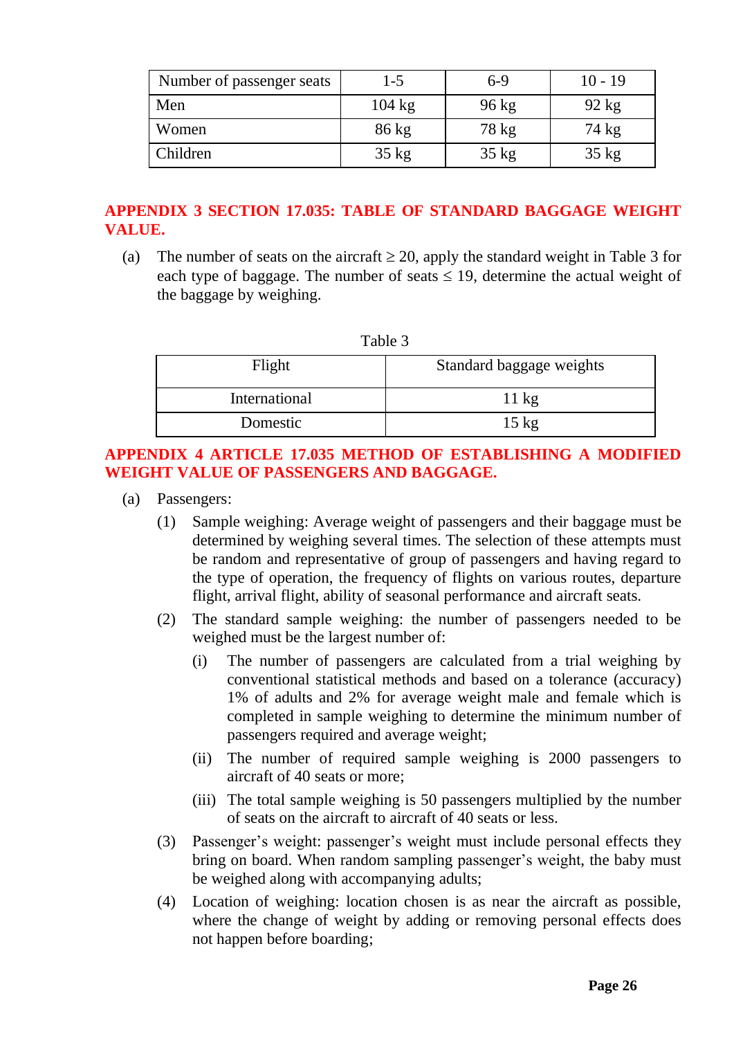| Number of passenger seats | 1-5              | 6-9             | $10 - 19$       |
|---------------------------|------------------|-----------------|-----------------|
| Men                       | $104 \text{ kg}$ | $96 \text{ kg}$ | $92 \text{ kg}$ |
| Women                     | $86 \text{ kg}$  | 78 kg           | 74 kg           |
| Children                  | $35 \text{ kg}$  | $35 \text{ kg}$ | $35 \text{ kg}$ |

# <span id="page-25-0"></span>**APPENDIX 3 SECTION 17.035: TABLE OF STANDARD BAGGAGE WEIGHT VALUE.**

(a) The number of seats on the aircraft  $\geq 20$ , apply the standard weight in Table 3 for each type of baggage. The number of seats  $\leq$  19, determine the actual weight of the baggage by weighing.

| Table 3       |                          |  |
|---------------|--------------------------|--|
| Flight        | Standard baggage weights |  |
| International | $11 \text{ kg}$          |  |
| Domestic      | $15 \text{ kg}$          |  |

# <span id="page-25-1"></span>**APPENDIX 4 ARTICLE 17.035 METHOD OF ESTABLISHING A MODIFIED WEIGHT VALUE OF PASSENGERS AND BAGGAGE.**

- (a) Passengers:
	- (1) Sample weighing: Average weight of passengers and their baggage must be determined by weighing several times. The selection of these attempts must be random and representative of group of passengers and having regard to the type of operation, the frequency of flights on various routes, departure flight, arrival flight, ability of seasonal performance and aircraft seats.
	- (2) The standard sample weighing: the number of passengers needed to be weighed must be the largest number of:
		- (i) The number of passengers are calculated from a trial weighing by conventional statistical methods and based on a tolerance (accuracy) 1% of adults and 2% for average weight male and female which is completed in sample weighing to determine the minimum number of passengers required and average weight;
		- (ii) The number of required sample weighing is 2000 passengers to aircraft of 40 seats or more;
		- (iii) The total sample weighing is 50 passengers multiplied by the number of seats on the aircraft to aircraft of 40 seats or less.
	- (3) Passenger's weight: passenger's weight must include personal effects they bring on board. When random sampling passenger's weight, the baby must be weighed along with accompanying adults;
	- (4) Location of weighing: location chosen is as near the aircraft as possible, where the change of weight by adding or removing personal effects does not happen before boarding;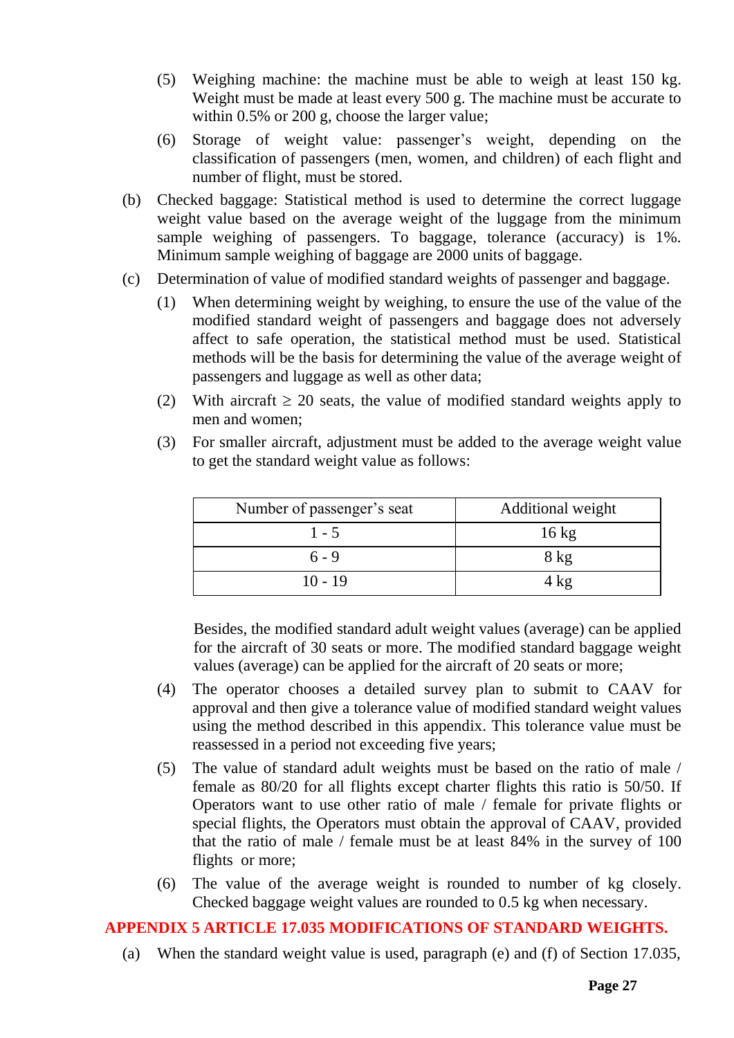- (5) Weighing machine: the machine must be able to weigh at least 150 kg. Weight must be made at least every 500 g. The machine must be accurate to within 0.5% or 200 g, choose the larger value;
- (6) Storage of weight value: passenger's weight, depending on the classification of passengers (men, women, and children) of each flight and number of flight, must be stored.
- (b) Checked baggage: Statistical method is used to determine the correct luggage weight value based on the average weight of the luggage from the minimum sample weighing of passengers. To baggage, tolerance (accuracy) is 1%. Minimum sample weighing of baggage are 2000 units of baggage.
- (c) Determination of value of modified standard weights of passenger and baggage.
	- (1) When determining weight by weighing, to ensure the use of the value of the modified standard weight of passengers and baggage does not adversely affect to safe operation, the statistical method must be used. Statistical methods will be the basis for determining the value of the average weight of passengers and luggage as well as other data;
	- (2) With aircraft  $\geq$  20 seats, the value of modified standard weights apply to men and women;
	- (3) For smaller aircraft, adjustment must be added to the average weight value to get the standard weight value as follows:

| Number of passenger's seat | Additional weight |
|----------------------------|-------------------|
| $1 - 5$                    | $16 \text{ kg}$   |
| $6 - 9$                    | $8$ kg            |
| $10 - 19$                  | 4 kg              |

Besides, the modified standard adult weight values (average) can be applied for the aircraft of 30 seats or more. The modified standard baggage weight values (average) can be applied for the aircraft of 20 seats or more;

- (4) The operator chooses a detailed survey plan to submit to CAAV for approval and then give a tolerance value of modified standard weight values using the method described in this appendix. This tolerance value must be reassessed in a period not exceeding five years;
- (5) The value of standard adult weights must be based on the ratio of male / female as 80/20 for all flights except charter flights this ratio is 50/50. If Operators want to use other ratio of male / female for private flights or special flights, the Operators must obtain the approval of CAAV, provided that the ratio of male / female must be at least 84% in the survey of 100 flights or more;
- (6) The value of the average weight is rounded to number of kg closely. Checked baggage weight values are rounded to 0.5 kg when necessary.

# <span id="page-26-0"></span>**APPENDIX 5 ARTICLE 17.035 MODIFICATIONS OF STANDARD WEIGHTS.**

(a) When the standard weight value is used, paragraph (e) and (f) of Section 17.035,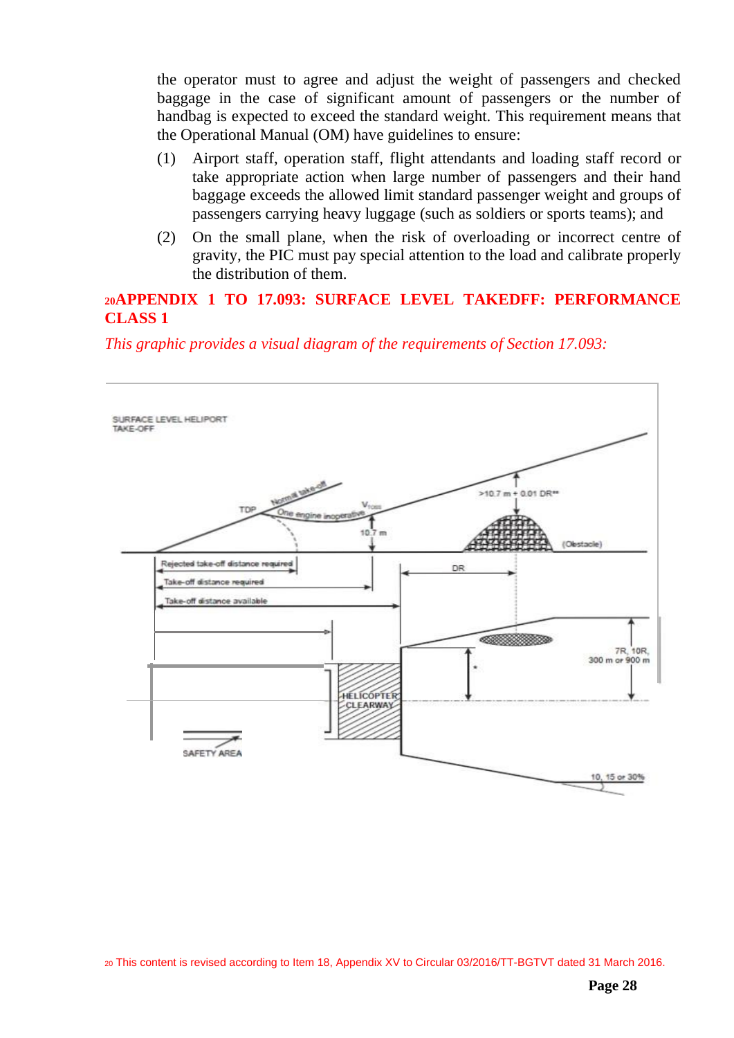the operator must to agree and adjust the weight of passengers and checked baggage in the case of significant amount of passengers or the number of handbag is expected to exceed the standard weight. This requirement means that the Operational Manual (OM) have guidelines to ensure:

- (1) Airport staff, operation staff, flight attendants and loading staff record or take appropriate action when large number of passengers and their hand baggage exceeds the allowed limit standard passenger weight and groups of passengers carrying heavy luggage (such as soldiers or sports teams); and
- (2) On the small plane, when the risk of overloading or incorrect centre of gravity, the PIC must pay special attention to the load and calibrate properly the distribution of them.

#### <span id="page-27-0"></span>**<sup>20</sup>APPENDIX 1 TO 17.093: SURFACE LEVEL TAKEDFF: PERFORMANCE CLASS 1**

*This graphic provides a visual diagram of the requirements of Section 17.093:*

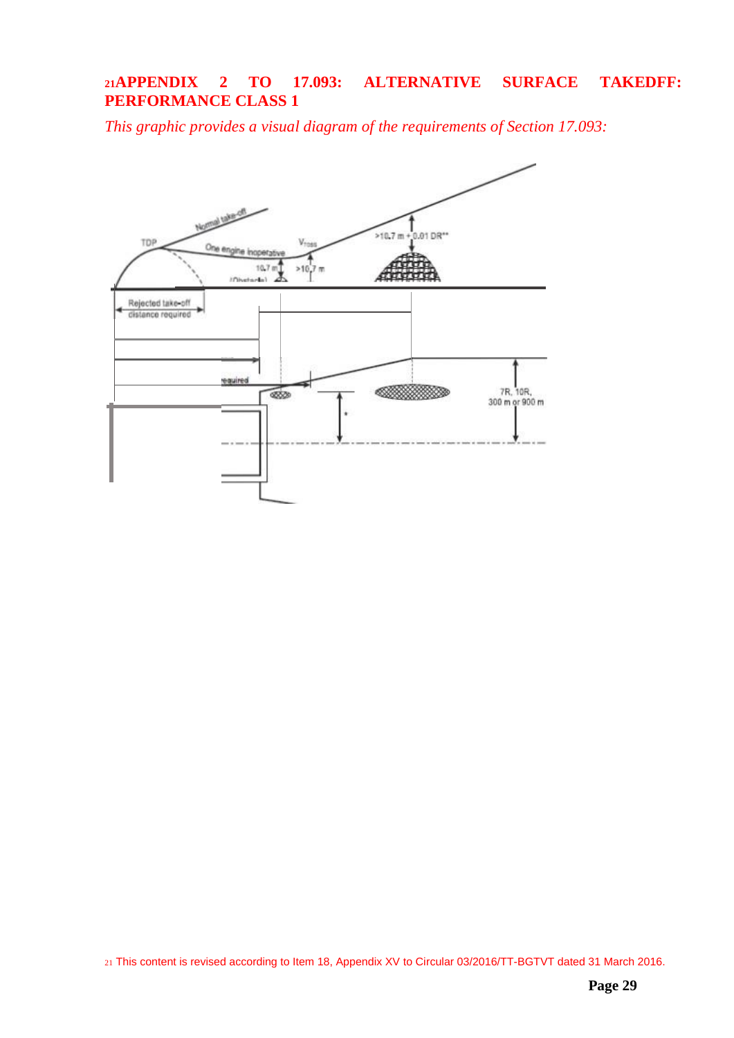# <span id="page-28-0"></span>**<sup>21</sup>APPENDIX 2 TO 17.093: ALTERNATIVE SURFACE TAKEDFF: PERFORMANCE CLASS 1**

*This graphic provides a visual diagram of the requirements of Section 17.093:*



21 This content is revised according to Item 18, Appendix XV to Circular 03/2016/TT-BGTVT dated 31 March 2016.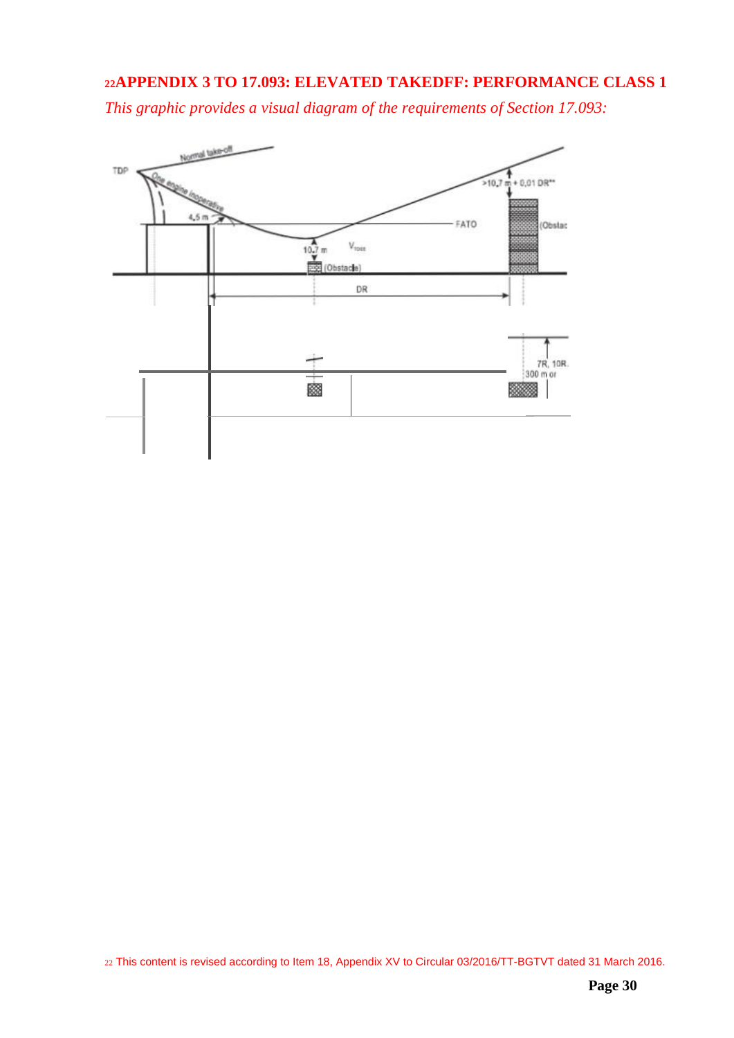### <span id="page-29-0"></span>**<sup>22</sup>APPENDIX 3 TO 17.093: ELEVATED TAKEDFF: PERFORMANCE CLASS 1**

*This graphic provides a visual diagram of the requirements of Section 17.093:*

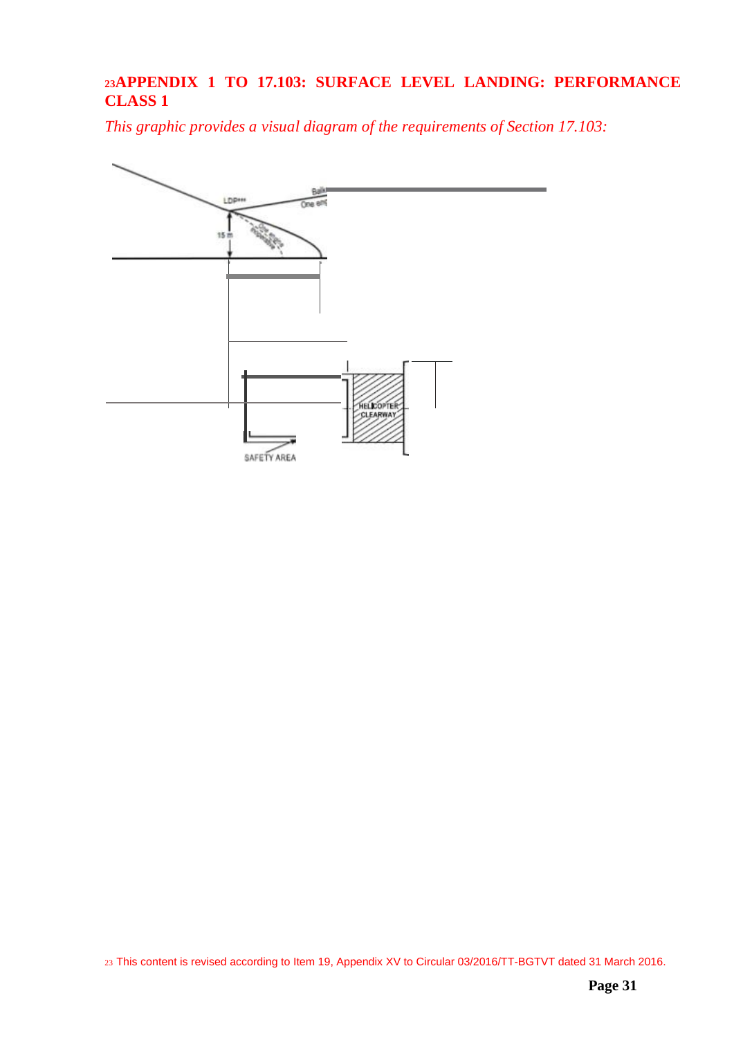# <span id="page-30-0"></span>**<sup>23</sup>APPENDIX 1 TO 17.103: SURFACE LEVEL LANDING: PERFORMANCE CLASS 1**

*This graphic provides a visual diagram of the requirements of Section 17.103:*

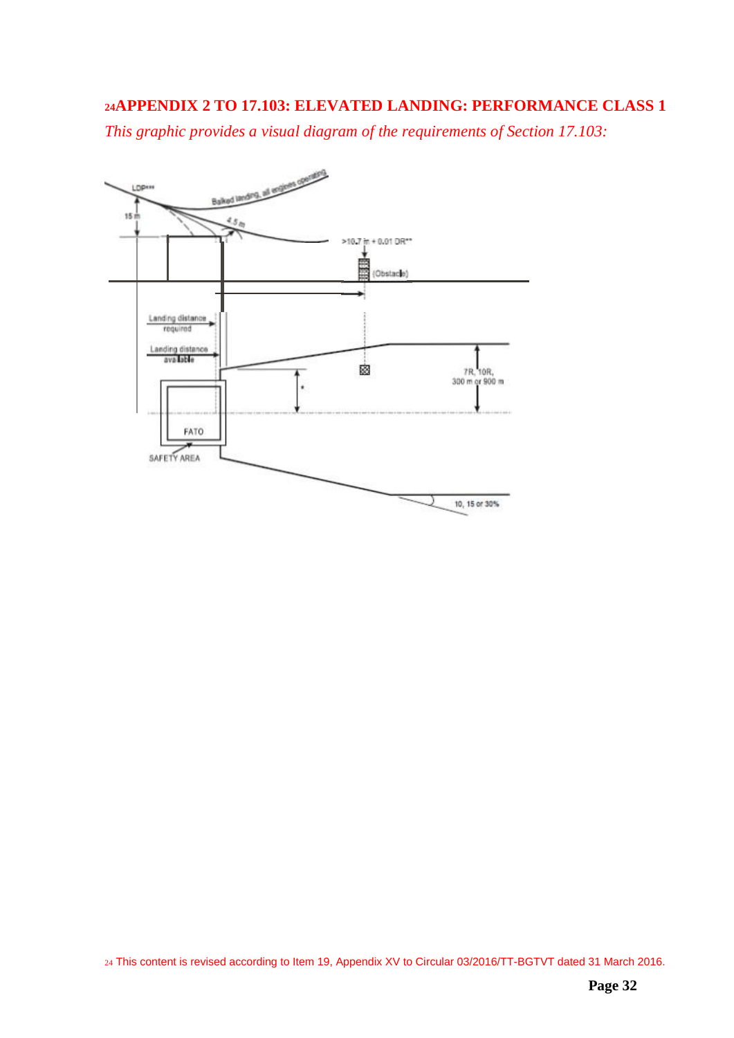# <span id="page-31-0"></span>**<sup>24</sup>APPENDIX 2 TO 17.103: ELEVATED LANDING: PERFORMANCE CLASS 1**

*This graphic provides a visual diagram of the requirements of Section 17.103:*



24 This content is revised according to Item 19, Appendix XV to Circular 03/2016/TT-BGTVT dated 31 March 2016.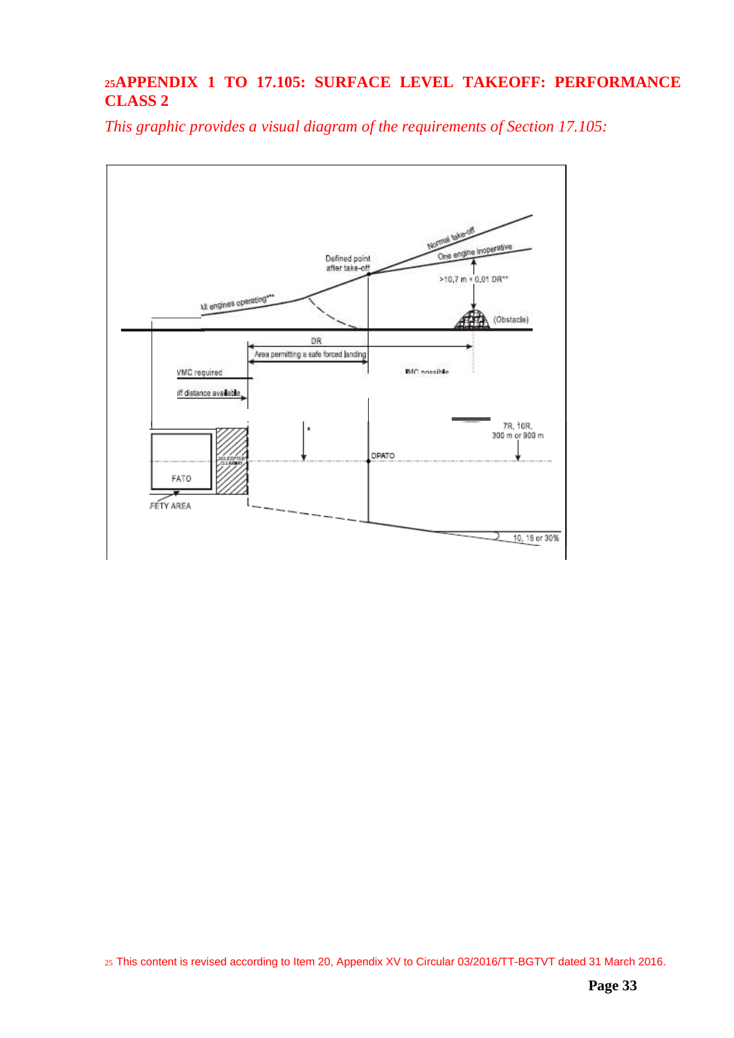# <span id="page-32-0"></span>**<sup>25</sup>APPENDIX 1 TO 17.105: SURFACE LEVEL TAKEOFF: PERFORMANCE CLASS 2**

*This graphic provides a visual diagram of the requirements of Section 17.105:*



25 This content is revised according to Item 20, Appendix XV to Circular 03/2016/TT-BGTVT dated 31 March 2016.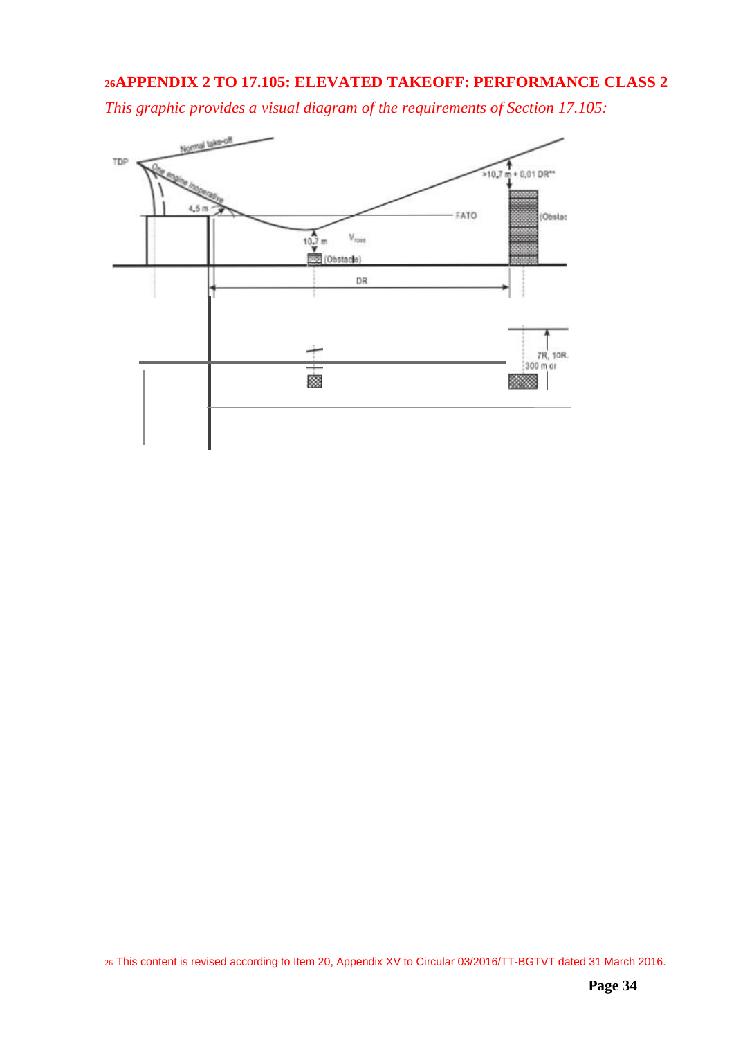### <span id="page-33-0"></span>**<sup>26</sup>APPENDIX 2 TO 17.105: ELEVATED TAKEOFF: PERFORMANCE CLASS 2**

*This graphic provides a visual diagram of the requirements of Section 17.105:*

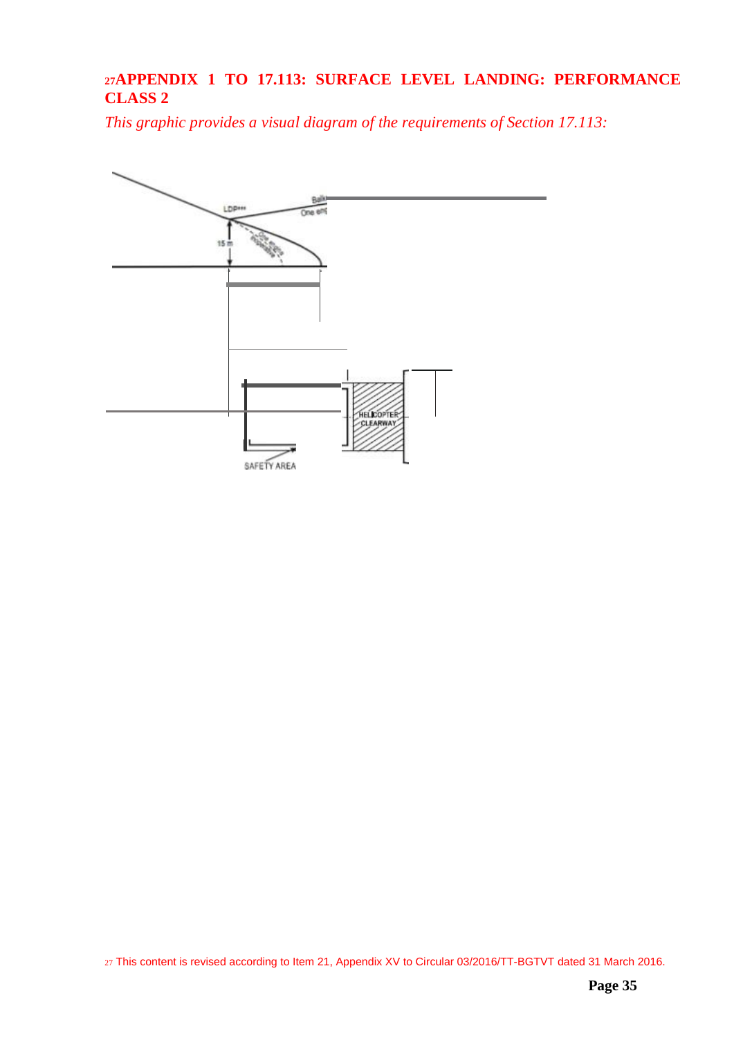# <span id="page-34-0"></span>**<sup>27</sup>APPENDIX 1 TO 17.113: SURFACE LEVEL LANDING: PERFORMANCE CLASS 2**

*This graphic provides a visual diagram of the requirements of Section 17.113:*



27 This content is revised according to Item 21, Appendix XV to Circular 03/2016/TT-BGTVT dated 31 March 2016.